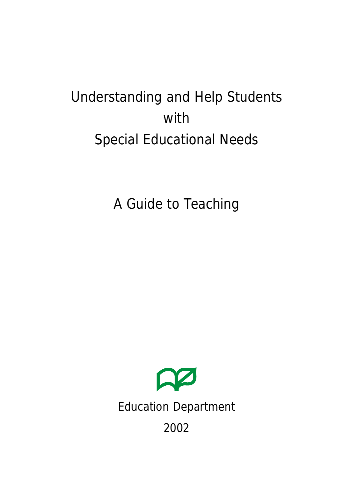# Understanding and Help Students with Special Educational Needs

A Guide to Teaching

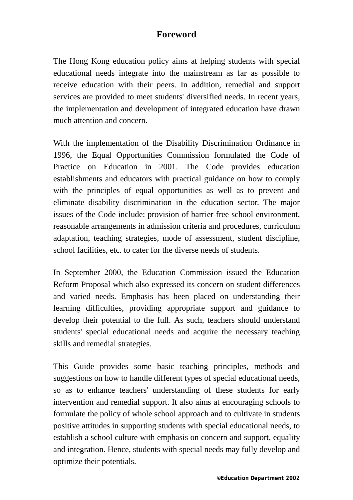### **Foreword**

The Hong Kong education policy aims at helping students with special educational needs integrate into the mainstream as far as possible to receive education with their peers. In addition, remedial and support services are provided to meet students' diversified needs. In recent years, the implementation and development of integrated education have drawn much attention and concern.

With the implementation of the Disability Discrimination Ordinance in 1996, the Equal Opportunities Commission formulated the Code of Practice on Education in 2001. The Code provides education establishments and educators with practical guidance on how to comply with the principles of equal opportunities as well as to prevent and eliminate disability discrimination in the education sector. The major issues of the Code include: provision of barrier-free school environment, reasonable arrangements in admission criteria and procedures, curriculum adaptation, teaching strategies, mode of assessment, student discipline, school facilities, etc. to cater for the diverse needs of students.

In September 2000, the Education Commission issued the Education Reform Proposal which also expressed its concern on student differences and varied needs. Emphasis has been placed on understanding their learning difficulties, providing appropriate support and guidance to develop their potential to the full. As such, teachers should understand students' special educational needs and acquire the necessary teaching skills and remedial strategies.

This Guide provides some basic teaching principles, methods and suggestions on how to handle different types of special educational needs, so as to enhance teachers' understanding of these students for early intervention and remedial support. It also aims at encouraging schools to formulate the policy of whole school approach and to cultivate in students positive attitudes in supporting students with special educational needs, to establish a school culture with emphasis on concern and support, equality and integration. Hence, students with special needs may fully develop and optimize their potentials.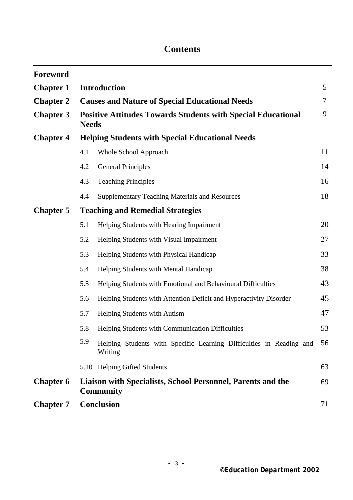### **Contents**

| <b>Foreword</b>  |                                                                                     |                                                                                |    |  |
|------------------|-------------------------------------------------------------------------------------|--------------------------------------------------------------------------------|----|--|
| <b>Chapter 1</b> | <b>Introduction</b>                                                                 |                                                                                |    |  |
| <b>Chapter 2</b> | <b>Causes and Nature of Special Educational Needs</b>                               |                                                                                |    |  |
| <b>Chapter 3</b> | <b>Positive Attitudes Towards Students with Special Educational</b><br><b>Needs</b> |                                                                                |    |  |
| <b>Chapter 4</b> | <b>Helping Students with Special Educational Needs</b>                              |                                                                                |    |  |
|                  | 4.1                                                                                 | Whole School Approach                                                          | 11 |  |
|                  | 4.2                                                                                 | <b>General Principles</b>                                                      | 14 |  |
|                  | 4.3                                                                                 | <b>Teaching Principles</b>                                                     | 16 |  |
|                  | 4.4                                                                                 | <b>Supplementary Teaching Materials and Resources</b>                          | 18 |  |
| <b>Chapter 5</b> | <b>Teaching and Remedial Strategies</b>                                             |                                                                                |    |  |
|                  | 5.1                                                                                 | Helping Students with Hearing Impairment                                       | 20 |  |
|                  | 5.2                                                                                 | Helping Students with Visual Impairment                                        | 27 |  |
|                  | 5.3                                                                                 | Helping Students with Physical Handicap                                        | 33 |  |
|                  | 5.4                                                                                 | Helping Students with Mental Handicap                                          | 38 |  |
|                  | 5.5                                                                                 | Helping Students with Emotional and Behavioural Difficulties                   | 43 |  |
|                  | 5.6                                                                                 | Helping Students with Attention Deficit and Hyperactivity Disorder             | 45 |  |
|                  | 5.7                                                                                 | Helping Students with Autism                                                   | 47 |  |
|                  | 5.8                                                                                 | Helping Students with Communication Difficulties                               | 53 |  |
|                  | 5.9                                                                                 | Helping Students with Specific Learning Difficulties in Reading and<br>Writing | 56 |  |
|                  |                                                                                     | 5.10 Helping Gifted Students                                                   | 63 |  |
| <b>Chapter 6</b> | Liaison with Specialists, School Personnel, Parents and the<br><b>Community</b>     |                                                                                | 69 |  |
| <b>Chapter 7</b> | <b>Conclusion</b>                                                                   |                                                                                | 71 |  |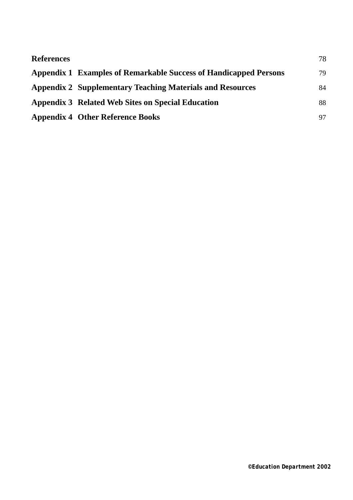| <b>References</b> |                                                                  | 78 |
|-------------------|------------------------------------------------------------------|----|
|                   | Appendix 1 Examples of Remarkable Success of Handicapped Persons | 79 |
|                   | <b>Appendix 2 Supplementary Teaching Materials and Resources</b> | 84 |
|                   | Appendix 3 Related Web Sites on Special Education                | 88 |
|                   | <b>Appendix 4 Other Reference Books</b>                          | 97 |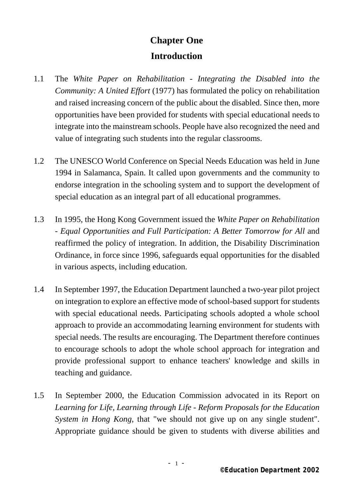## **Chapter One Introduction**

- 1.1 The *White Paper on Rehabilitation Integrating the Disabled into the Community: A United Effort* (1977) has formulated the policy on rehabilitation and raised increasing concern of the public about the disabled. Since then, more opportunities have been provided for students with special educational needs to integrate into the mainstream schools. People have also recognized the need and value of integrating such students into the regular classrooms.
- 1.2 The UNESCO World Conference on Special Needs Education was held in June 1994 in Salamanca, Spain. It called upon governments and the community to endorse integration in the schooling system and to support the development of special education as an integral part of all educational programmes.
- 1.3 In 1995, the Hong Kong Government issued the *White Paper on Rehabilitation - Equal Opportunities and Full Participation: A Better Tomorrow for All* and reaffirmed the policy of integration. In addition, the Disability Discrimination Ordinance, in force since 1996, safeguards equal opportunities for the disabled in various aspects, including education.
- 1.4 In September 1997, the Education Department launched a two-year pilot project on integration to explore an effective mode of school-based support for students with special educational needs. Participating schools adopted a whole school approach to provide an accommodating learning environment for students with special needs. The results are encouraging. The Department therefore continues to encourage schools to adopt the whole school approach for integration and provide professional support to enhance teachers' knowledge and skills in teaching and guidance.
- 1.5 In September 2000, the Education Commission advocated in its Report on *Learning for Life, Learning through Life - Reform Proposals for the Education System in Hong Kong*, that "we should not give up on any single student". Appropriate guidance should be given to students with diverse abilities and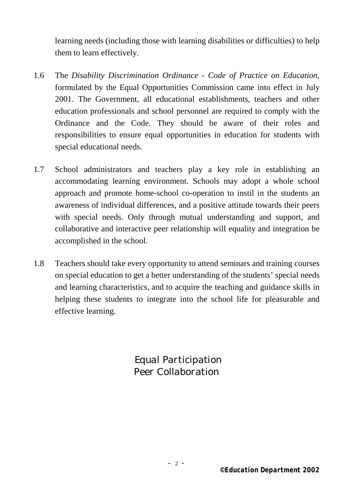learning needs (including those with learning disabilities or difficulties) to help them to learn effectively.

- 1.6 The *Disability Discrimination Ordinance Code of Practice on Education*, formulated by the Equal Opportunities Commission came into effect in July 2001. The Government, all educational establishments, teachers and other education professionals and school personnel are required to comply with the Ordinance and the Code. They should be aware of their roles and responsibilities to ensure equal opportunities in education for students with special educational needs.
- 1.7 School administrators and teachers play a key role in establishing an accommodating learning environment. Schools may adopt a whole school approach and promote home-school co-operation to instil in the students an awareness of individual differences, and a positive attitude towards their peers with special needs. Only through mutual understanding and support, and collaborative and interactive peer relationship will equality and integration be accomplished in the school.
- 1.8 Teachers should take every opportunity to attend seminars and training courses on special education to get a better understanding of the students' special needs and learning characteristics, and to acquire the teaching and guidance skills in helping these students to integrate into the school life for pleasurable and effective learning.

 *Equal Participation Peer Collaboration*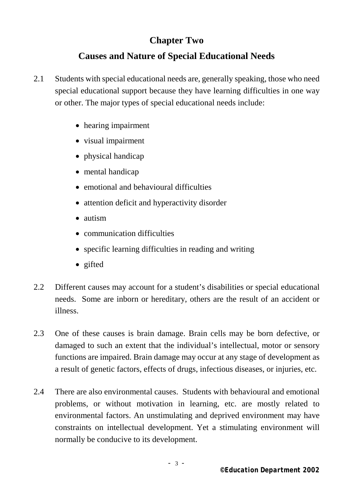### **Chapter Two**

### **Causes and Nature of Special Educational Needs**

- 2.1 Students with special educational needs are, generally speaking, those who need special educational support because they have learning difficulties in one way or other. The major types of special educational needs include:
	- hearing impairment
	- visual impairment
	- physical handicap
	- mental handicap
	- emotional and behavioural difficulties
	- attention deficit and hyperactivity disorder
	- autism
	- communication difficulties
	- specific learning difficulties in reading and writing
	- gifted
- 2.2 Different causes may account for a student's disabilities or special educational needs. Some are inborn or hereditary, others are the result of an accident or illness.
- 2.3 One of these causes is brain damage. Brain cells may be born defective, or damaged to such an extent that the individual's intellectual, motor or sensory functions are impaired. Brain damage may occur at any stage of development as a result of genetic factors, effects of drugs, infectious diseases, or injuries, etc.
- 2.4 There are also environmental causes. Students with behavioural and emotional problems, or without motivation in learning, etc. are mostly related to environmental factors. An unstimulating and deprived environment may have constraints on intellectual development. Yet a stimulating environment will normally be conducive to its development.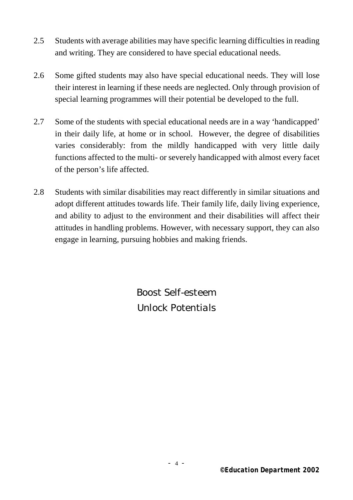- 2.5 Students with average abilities may have specific learning difficulties in reading and writing. They are considered to have special educational needs.
- 2.6 Some gifted students may also have special educational needs. They will lose their interest in learning if these needs are neglected. Only through provision of special learning programmes will their potential be developed to the full.
- 2.7 Some of the students with special educational needs are in a way 'handicapped' in their daily life, at home or in school. However, the degree of disabilities varies considerably: from the mildly handicapped with very little daily functions affected to the multi- or severely handicapped with almost every facet of the person's life affected.
- 2.8 Students with similar disabilities may react differently in similar situations and adopt different attitudes towards life. Their family life, daily living experience, and ability to adjust to the environment and their disabilities will affect their attitudes in handling problems. However, with necessary support, they can also engage in learning, pursuing hobbies and making friends.

*Boost Self-esteem Unlock Potentials*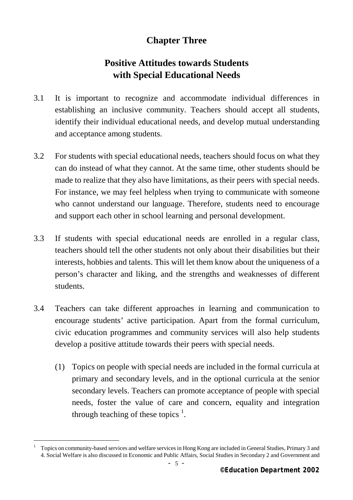### **Chapter Three**

### **Positive Attitudes towards Students with Special Educational Needs**

- 3.1 It is important to recognize and accommodate individual differences in establishing an inclusive community. Teachers should accept all students, identify their individual educational needs, and develop mutual understanding and acceptance among students.
- 3.2 For students with special educational needs, teachers should focus on what they can do instead of what they cannot. At the same time, other students should be made to realize that they also have limitations, as their peers with special needs. For instance, we may feel helpless when trying to communicate with someone who cannot understand our language. Therefore, students need to encourage and support each other in school learning and personal development.
- 3.3 If students with special educational needs are enrolled in a regular class, teachers should tell the other students not only about their disabilities but their interests, hobbies and talents. This will let them know about the uniqueness of a person's character and liking, and the strengths and weaknesses of different students.
- 3.4 Teachers can take different approaches in learning and communication to encourage students' active participation. Apart from the formal curriculum, civic education programmes and community services will also help students develop a positive attitude towards their peers with special needs.
	- (1) Topics on people with special needs are included in the formal curricula at primary and secondary levels, and in the optional curricula at the senior secondary levels. Teachers can promote acceptance of people with special needs, foster the value of care and concern, equality and integration through teaching of these topics  $<sup>1</sup>$ .</sup>

i.

<sup>1</sup> Topics on community-based services and welfare services in Hong Kong are included in General Studies, Primary 3 and 4. Social Welfare is also discussed in Economic and Public Affairs, Social Studies in Secondary 2 and Government and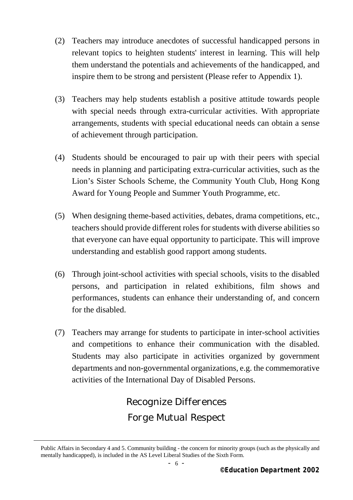- (2) Teachers may introduce anecdotes of successful handicapped persons in relevant topics to heighten students' interest in learning. This will help them understand the potentials and achievements of the handicapped, and inspire them to be strong and persistent (Please refer to Appendix 1).
- (3) Teachers may help students establish a positive attitude towards people with special needs through extra-curricular activities. With appropriate arrangements, students with special educational needs can obtain a sense of achievement through participation.
- (4) Students should be encouraged to pair up with their peers with special needs in planning and participating extra-curricular activities, such as the Lion's Sister Schools Scheme, the Community Youth Club, Hong Kong Award for Young People and Summer Youth Programme, etc.
- (5) When designing theme-based activities, debates, drama competitions, etc., teachers should provide different roles for students with diverse abilities so that everyone can have equal opportunity to participate. This will improve understanding and establish good rapport among students.
- (6) Through joint-school activities with special schools, visits to the disabled persons, and participation in related exhibitions, film shows and performances, students can enhance their understanding of, and concern for the disabled.
- (7) Teachers may arrange for students to participate in inter-school activities and competitions to enhance their communication with the disabled. Students may also participate in activities organized by government departments and non-governmental organizations, e.g. the commemorative activities of the International Day of Disabled Persons.

*Recognize Differences Forge Mutual Respect* 

i.

Public Affairs in Secondary 4 and 5. Community building - the concern for minority groups (such as the physically and mentally handicapped), is included in the AS Level Liberal Studies of the Sixth Form.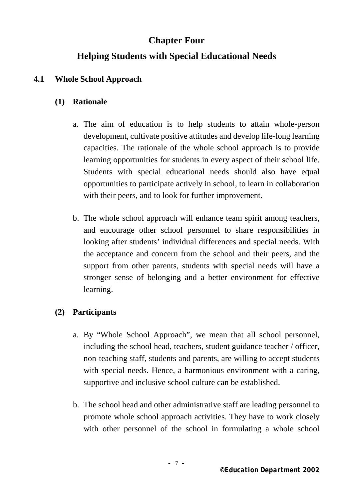### **Chapter Four**

### **Helping Students with Special Educational Needs**

### **4.1 Whole School Approach**

### **(1) Rationale**

- a. The aim of education is to help students to attain whole-person development, cultivate positive attitudes and develop life-long learning capacities. The rationale of the whole school approach is to provide learning opportunities for students in every aspect of their school life. Students with special educational needs should also have equal opportunities to participate actively in school, to learn in collaboration with their peers, and to look for further improvement.
- b. The whole school approach will enhance team spirit among teachers, and encourage other school personnel to share responsibilities in looking after students' individual differences and special needs. With the acceptance and concern from the school and their peers, and the support from other parents, students with special needs will have a stronger sense of belonging and a better environment for effective learning.

### **(2) Participants**

- a. By "Whole School Approach", we mean that all school personnel, including the school head, teachers, student guidance teacher / officer, non-teaching staff, students and parents, are willing to accept students with special needs. Hence, a harmonious environment with a caring, supportive and inclusive school culture can be established.
- b. The school head and other administrative staff are leading personnel to promote whole school approach activities. They have to work closely with other personnel of the school in formulating a whole school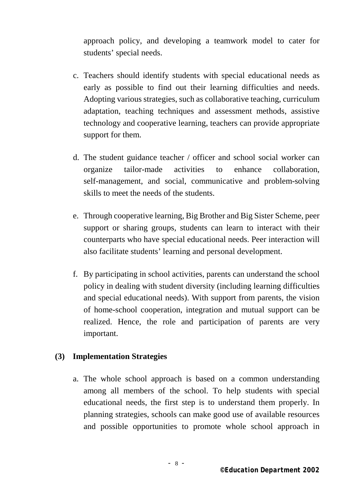approach policy, and developing a teamwork model to cater for students' special needs.

- c. Teachers should identify students with special educational needs as early as possible to find out their learning difficulties and needs. Adopting various strategies, such as collaborative teaching, curriculum adaptation, teaching techniques and assessment methods, assistive technology and cooperative learning, teachers can provide appropriate support for them.
- d. The student guidance teacher / officer and school social worker can organize tailor-made activities to enhance collaboration, self-management, and social, communicative and problem-solving skills to meet the needs of the students.
- e. Through cooperative learning, Big Brother and Big Sister Scheme, peer support or sharing groups, students can learn to interact with their counterparts who have special educational needs. Peer interaction will also facilitate students' learning and personal development.
- f. By participating in school activities, parents can understand the school policy in dealing with student diversity (including learning difficulties and special educational needs). With support from parents, the vision of home-school cooperation, integration and mutual support can be realized. Hence, the role and participation of parents are very important.

#### **(3) Implementation Strategies**

a. The whole school approach is based on a common understanding among all members of the school. To help students with special educational needs, the first step is to understand them properly. In planning strategies, schools can make good use of available resources and possible opportunities to promote whole school approach in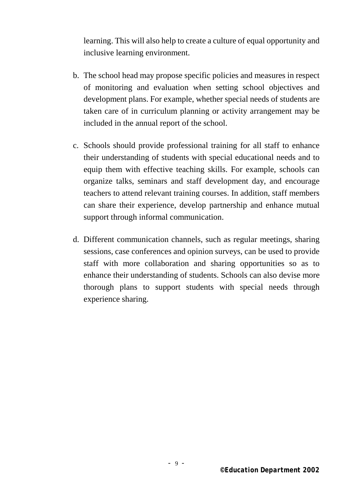learning. This will also help to create a culture of equal opportunity and inclusive learning environment.

- b. The school head may propose specific policies and measures in respect of monitoring and evaluation when setting school objectives and development plans. For example, whether special needs of students are taken care of in curriculum planning or activity arrangement may be included in the annual report of the school.
- c. Schools should provide professional training for all staff to enhance their understanding of students with special educational needs and to equip them with effective teaching skills. For example, schools can organize talks, seminars and staff development day, and encourage teachers to attend relevant training courses. In addition, staff members can share their experience, develop partnership and enhance mutual support through informal communication.
- d. Different communication channels, such as regular meetings, sharing sessions, case conferences and opinion surveys, can be used to provide staff with more collaboration and sharing opportunities so as to enhance their understanding of students. Schools can also devise more thorough plans to support students with special needs through experience sharing.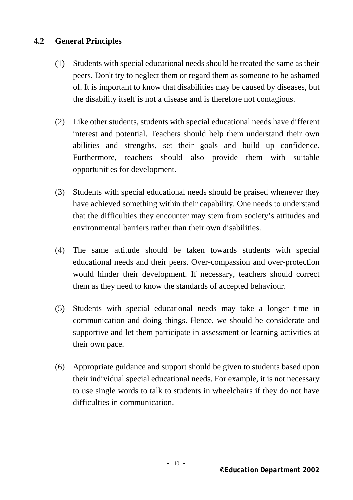#### **4.2 General Principles**

- (1) Students with special educational needs should be treated the same as their peers. Don't try to neglect them or regard them as someone to be ashamed of. It is important to know that disabilities may be caused by diseases, but the disability itself is not a disease and is therefore not contagious.
- (2) Like other students, students with special educational needs have different interest and potential. Teachers should help them understand their own abilities and strengths, set their goals and build up confidence. Furthermore, teachers should also provide them with suitable opportunities for development.
- (3) Students with special educational needs should be praised whenever they have achieved something within their capability. One needs to understand that the difficulties they encounter may stem from society's attitudes and environmental barriers rather than their own disabilities.
- (4) The same attitude should be taken towards students with special educational needs and their peers. Over-compassion and over-protection would hinder their development. If necessary, teachers should correct them as they need to know the standards of accepted behaviour.
- (5) Students with special educational needs may take a longer time in communication and doing things. Hence, we should be considerate and supportive and let them participate in assessment or learning activities at their own pace.
- (6) Appropriate guidance and support should be given to students based upon their individual special educational needs. For example, it is not necessary to use single words to talk to students in wheelchairs if they do not have difficulties in communication.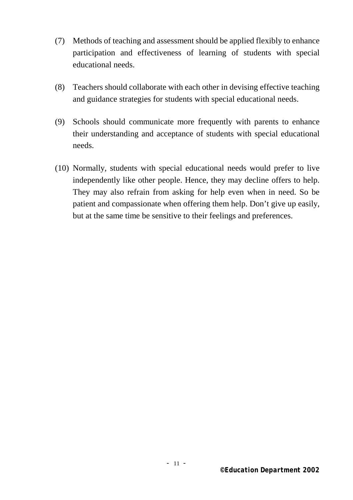- (7) Methods of teaching and assessment should be applied flexibly to enhance participation and effectiveness of learning of students with special educational needs.
- (8) Teachers should collaborate with each other in devising effective teaching and guidance strategies for students with special educational needs.
- (9) Schools should communicate more frequently with parents to enhance their understanding and acceptance of students with special educational needs.
- (10) Normally, students with special educational needs would prefer to live independently like other people. Hence, they may decline offers to help. They may also refrain from asking for help even when in need. So be patient and compassionate when offering them help. Don't give up easily, but at the same time be sensitive to their feelings and preferences.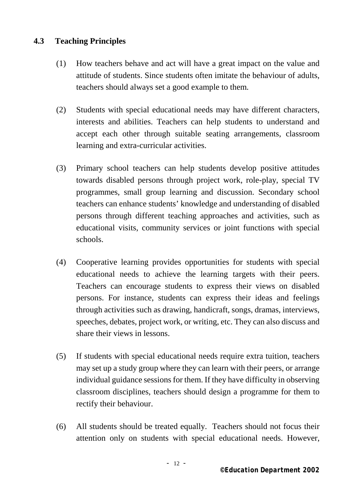### **4.3 Teaching Principles**

- (1) How teachers behave and act will have a great impact on the value and attitude of students. Since students often imitate the behaviour of adults, teachers should always set a good example to them.
- (2) Students with special educational needs may have different characters, interests and abilities. Teachers can help students to understand and accept each other through suitable seating arrangements, classroom learning and extra-curricular activities.
- (3) Primary school teachers can help students develop positive attitudes towards disabled persons through project work, role-play, special TV programmes, small group learning and discussion. Secondary school teachers can enhance students' knowledge and understanding of disabled persons through different teaching approaches and activities, such as educational visits, community services or joint functions with special schools.
- (4) Cooperative learning provides opportunities for students with special educational needs to achieve the learning targets with their peers. Teachers can encourage students to express their views on disabled persons. For instance, students can express their ideas and feelings through activities such as drawing, handicraft, songs, dramas, interviews, speeches, debates, project work, or writing, etc. They can also discuss and share their views in lessons.
- (5) If students with special educational needs require extra tuition, teachers may set up a study group where they can learn with their peers, or arrange individual guidance sessions for them. If they have difficulty in observing classroom disciplines, teachers should design a programme for them to rectify their behaviour.
- (6) All students should be treated equally. Teachers should not focus their attention only on students with special educational needs. However,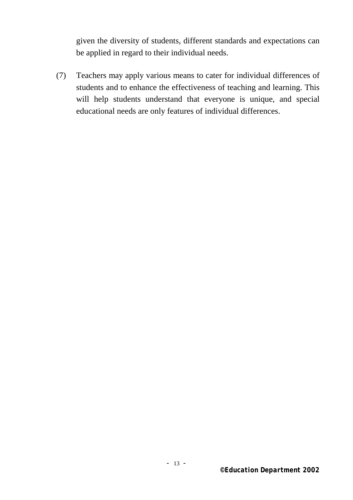given the diversity of students, different standards and expectations can be applied in regard to their individual needs.

(7) Teachers may apply various means to cater for individual differences of students and to enhance the effectiveness of teaching and learning. This will help students understand that everyone is unique, and special educational needs are only features of individual differences.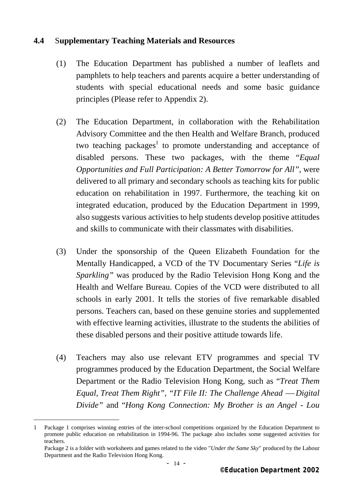#### **4.4** S**upplementary Teaching Materials and Resources**

- (1) The Education Department has published a number of leaflets and pamphlets to help teachers and parents acquire a better understanding of students with special educational needs and some basic guidance principles (Please refer to Appendix 2).
- (2) The Education Department, in collaboration with the Rehabilitation Advisory Committee and the then Health and Welfare Branch, produced two teaching packages<sup>1</sup> to promote understanding and acceptance of disabled persons. These two packages, with the theme "*Equal Opportunities and Full Participation: A Better Tomorrow for All"*, were delivered to all primary and secondary schools as teaching kits for public education on rehabilitation in 1997. Furthermore, the teaching kit on integrated education, produced by the Education Department in 1999, also suggests various activities to help students develop positive attitudes and skills to communicate with their classmates with disabilities.
- (3) Under the sponsorship of the Queen Elizabeth Foundation for the Mentally Handicapped, a VCD of the TV Documentary Series "*Life is Sparkling"* was produced by the Radio Television Hong Kong and the Health and Welfare Bureau. Copies of the VCD were distributed to all schools in early 2001. It tells the stories of five remarkable disabled persons. Teachers can, based on these genuine stories and supplemented with effective learning activities, illustrate to the students the abilities of these disabled persons and their positive attitude towards life.
- (4) Teachers may also use relevant ETV programmes and special TV programmes produced by the Education Department, the Social Welfare Department or the Radio Television Hong Kong, such as "*Treat Them Equal, Treat Them Right", "IT File II: The Challenge Ahead — Digital Divide"* and "*Hong Kong Connection: My Brother is an Angel - Lou*

i.

<sup>1</sup> Package 1 comprises winning entries of the inter-school competitions organized by the Education Department to promote public education on rehabilitation in 1994-96. The package also includes some suggested activities for teachers.

Package 2 is a folder with worksheets and games related to the video "*Under the Same Sky*" produced by the Labour Department and the Radio Television Hong Kong.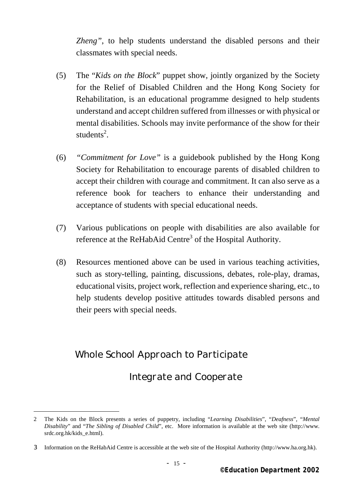*Zheng"*, to help students understand the disabled persons and their classmates with special needs.

- (5) The "*Kids on the Block*" puppet show, jointly organized by the Society for the Relief of Disabled Children and the Hong Kong Society for Rehabilitation, is an educational programme designed to help students understand and accept children suffered from illnesses or with physical or mental disabilities. Schools may invite performance of the show for their students<sup>2</sup>.
- (6) *"Commitment for Love"* is a guidebook published by the Hong Kong Society for Rehabilitation to encourage parents of disabled children to accept their children with courage and commitment. It can also serve as a reference book for teachers to enhance their understanding and acceptance of students with special educational needs.
- (7) Various publications on people with disabilities are also available for reference at the ReHabAid Centre<sup>3</sup> of the Hospital Authority.
- (8) Resources mentioned above can be used in various teaching activities, such as story-telling, painting, discussions, debates, role-play, dramas, educational visits, project work, reflection and experience sharing, etc., to help students develop positive attitudes towards disabled persons and their peers with special needs.

### *Whole School Approach to Participate*

i.

 *Integrate and Cooperate* 

<sup>2</sup> The Kids on the Block presents a series of puppetry, including "*Learning Disabilities*", "*Deafness*", "*Mental Disability*" and "*The Sibling of Disabled Child*", etc. More information is available at the web site (http://www. srdc.org.hk/kids\_e.html).

<sup>3</sup> Information on the ReHabAid Centre is accessible at the web site of the Hospital Authority (http://www.ha.org.hk).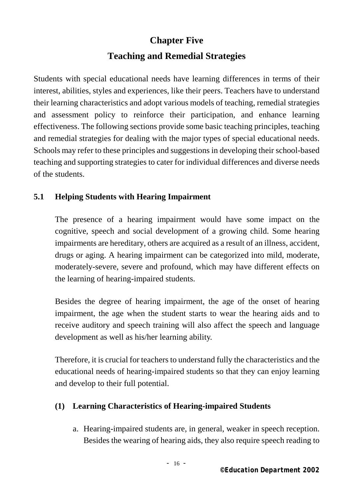### **Chapter Five**

### **Teaching and Remedial Strategies**

 Students with special educational needs have learning differences in terms of their interest, abilities, styles and experiences, like their peers. Teachers have to understand their learning characteristics and adopt various models of teaching, remedial strategies and assessment policy to reinforce their participation, and enhance learning effectiveness. The following sections provide some basic teaching principles, teaching and remedial strategies for dealing with the major types of special educational needs. Schools may refer to these principles and suggestions in developing their school-based teaching and supporting strategies to cater for individual differences and diverse needs of the students.

### **5.1 Helping Students with Hearing Impairment**

The presence of a hearing impairment would have some impact on the cognitive, speech and social development of a growing child. Some hearing impairments are hereditary, others are acquired as a result of an illness, accident, drugs or aging. A hearing impairment can be categorized into mild, moderate, moderately-severe, severe and profound, which may have different effects on the learning of hearing-impaired students.

Besides the degree of hearing impairment, the age of the onset of hearing impairment, the age when the student starts to wear the hearing aids and to receive auditory and speech training will also affect the speech and language development as well as his/her learning ability.

Therefore, it is crucial for teachers to understand fully the characteristics and the educational needs of hearing-impaired students so that they can enjoy learning and develop to their full potential.

### **(1) Learning Characteristics of Hearing-impaired Students**

a. Hearing-impaired students are, in general, weaker in speech reception. Besides the wearing of hearing aids, they also require speech reading to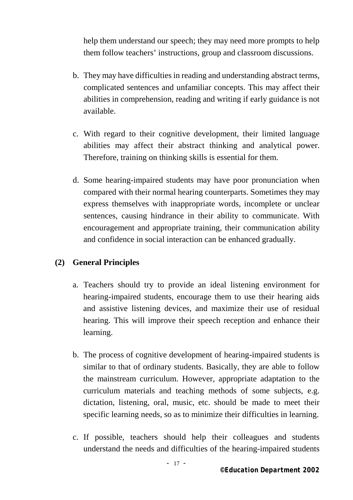help them understand our speech; they may need more prompts to help them follow teachers' instructions, group and classroom discussions.

- b. They may have difficulties in reading and understanding abstract terms, complicated sentences and unfamiliar concepts. This may affect their abilities in comprehension, reading and writing if early guidance is not available.
- c. With regard to their cognitive development, their limited language abilities may affect their abstract thinking and analytical power. Therefore, training on thinking skills is essential for them.
- d. Some hearing-impaired students may have poor pronunciation when compared with their normal hearing counterparts. Sometimes they may express themselves with inappropriate words, incomplete or unclear sentences, causing hindrance in their ability to communicate. With encouragement and appropriate training, their communication ability and confidence in social interaction can be enhanced gradually.

### **(2) General Principles**

- a. Teachers should try to provide an ideal listening environment for hearing-impaired students, encourage them to use their hearing aids and assistive listening devices, and maximize their use of residual hearing. This will improve their speech reception and enhance their learning.
- b. The process of cognitive development of hearing-impaired students is similar to that of ordinary students. Basically, they are able to follow the mainstream curriculum. However, appropriate adaptation to the curriculum materials and teaching methods of some subjects, e.g. dictation, listening, oral, music, etc. should be made to meet their specific learning needs, so as to minimize their difficulties in learning.
- c. If possible, teachers should help their colleagues and students understand the needs and difficulties of the hearing-impaired students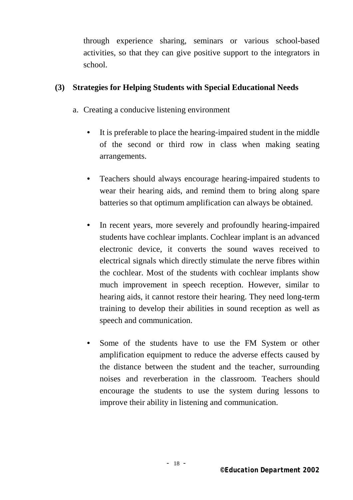through experience sharing, seminars or various school-based activities, so that they can give positive support to the integrators in school.

#### **(3) Strategies for Helping Students with Special Educational Needs**

- a. Creating a conducive listening environment
	- It is preferable to place the hearing-impaired student in the middle of the second or third row in class when making seating arrangements.
	- Teachers should always encourage hearing-impaired students to wear their hearing aids, and remind them to bring along spare batteries so that optimum amplification can always be obtained.
	- In recent years, more severely and profoundly hearing-impaired students have cochlear implants. Cochlear implant is an advanced electronic device, it converts the sound waves received to electrical signals which directly stimulate the nerve fibres within the cochlear. Most of the students with cochlear implants show much improvement in speech reception. However, similar to hearing aids, it cannot restore their hearing. They need long-term training to develop their abilities in sound reception as well as speech and communication.
	- Some of the students have to use the FM System or other amplification equipment to reduce the adverse effects caused by the distance between the student and the teacher, surrounding noises and reverberation in the classroom. Teachers should encourage the students to use the system during lessons to improve their ability in listening and communication.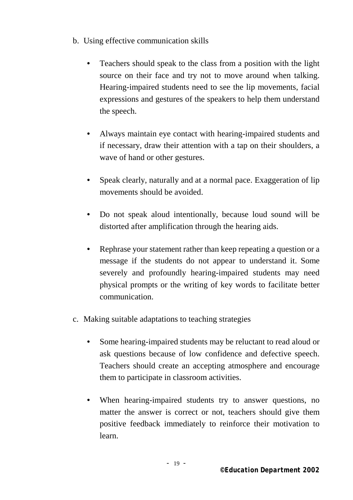- b. Using effective communication skills
	- Teachers should speak to the class from a position with the light source on their face and try not to move around when talking. Hearing-impaired students need to see the lip movements, facial expressions and gestures of the speakers to help them understand the speech.
	- Always maintain eye contact with hearing-impaired students and if necessary, draw their attention with a tap on their shoulders, a wave of hand or other gestures.
	- Speak clearly, naturally and at a normal pace. Exaggeration of lip movements should be avoided.
	- Do not speak aloud intentionally, because loud sound will be distorted after amplification through the hearing aids.
	- Rephrase your statement rather than keep repeating a question or a message if the students do not appear to understand it. Some severely and profoundly hearing-impaired students may need physical prompts or the writing of key words to facilitate better communication.
- c. Making suitable adaptations to teaching strategies
	- Some hearing-impaired students may be reluctant to read aloud or ask questions because of low confidence and defective speech. Teachers should create an accepting atmosphere and encourage them to participate in classroom activities.
	- When hearing-impaired students try to answer questions, no matter the answer is correct or not, teachers should give them positive feedback immediately to reinforce their motivation to learn.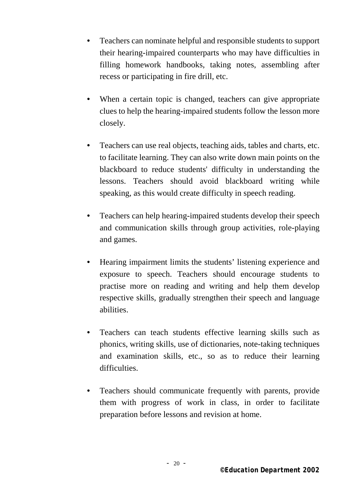- Teachers can nominate helpful and responsible students to support their hearing-impaired counterparts who may have difficulties in filling homework handbooks, taking notes, assembling after recess or participating in fire drill, etc.
- When a certain topic is changed, teachers can give appropriate clues to help the hearing-impaired students follow the lesson more closely.
- Teachers can use real objects, teaching aids, tables and charts, etc. to facilitate learning. They can also write down main points on the blackboard to reduce students' difficulty in understanding the lessons. Teachers should avoid blackboard writing while speaking, as this would create difficulty in speech reading.
- Teachers can help hearing-impaired students develop their speech and communication skills through group activities, role-playing and games.
- Hearing impairment limits the students' listening experience and exposure to speech. Teachers should encourage students to practise more on reading and writing and help them develop respective skills, gradually strengthen their speech and language abilities.
- Teachers can teach students effective learning skills such as phonics, writing skills, use of dictionaries, note-taking techniques and examination skills, etc., so as to reduce their learning difficulties.
- Teachers should communicate frequently with parents, provide them with progress of work in class, in order to facilitate preparation before lessons and revision at home.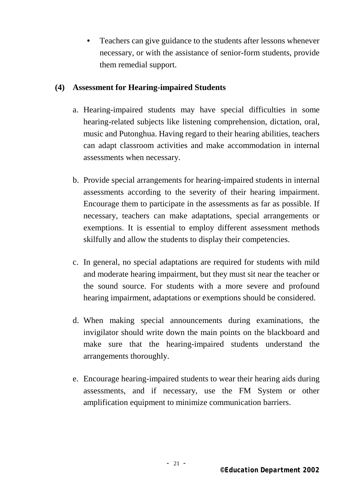• Teachers can give guidance to the students after lessons whenever necessary, or with the assistance of senior-form students, provide them remedial support.

#### **(4) Assessment for Hearing-impaired Students**

- a. Hearing-impaired students may have special difficulties in some hearing-related subjects like listening comprehension, dictation, oral, music and Putonghua. Having regard to their hearing abilities, teachers can adapt classroom activities and make accommodation in internal assessments when necessary.
- b. Provide special arrangements for hearing-impaired students in internal assessments according to the severity of their hearing impairment. Encourage them to participate in the assessments as far as possible. If necessary, teachers can make adaptations, special arrangements or exemptions. It is essential to employ different assessment methods skilfully and allow the students to display their competencies.
- c. In general, no special adaptations are required for students with mild and moderate hearing impairment, but they must sit near the teacher or the sound source. For students with a more severe and profound hearing impairment, adaptations or exemptions should be considered.
- d. When making special announcements during examinations, the invigilator should write down the main points on the blackboard and make sure that the hearing-impaired students understand the arrangements thoroughly.
- e. Encourage hearing-impaired students to wear their hearing aids during assessments, and if necessary, use the FM System or other amplification equipment to minimize communication barriers.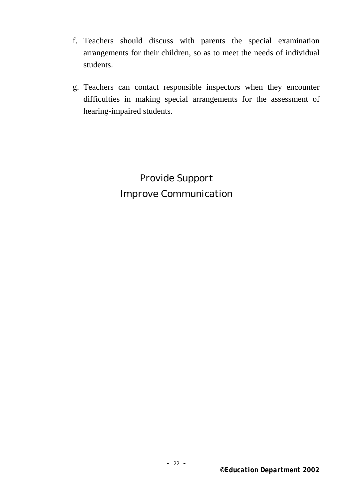- f. Teachers should discuss with parents the special examination arrangements for their children, so as to meet the needs of individual students.
- g. Teachers can contact responsible inspectors when they encounter difficulties in making special arrangements for the assessment of hearing-impaired students.

*Provide Support Improve Communication*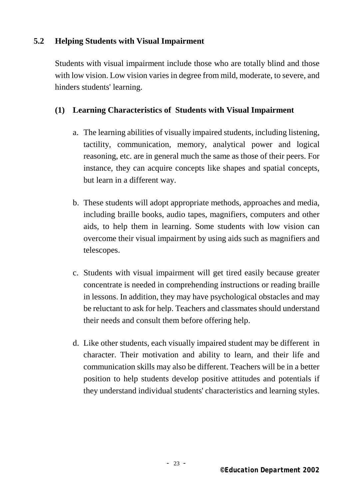### **5.2 Helping Students with Visual Impairment**

Students with visual impairment include those who are totally blind and those with low vision. Low vision varies in degree from mild, moderate, to severe, and hinders students' learning.

### **(1) Learning Characteristics of Students with Visual Impairment**

- a. The learning abilities of visually impaired students, including listening, tactility, communication, memory, analytical power and logical reasoning, etc. are in general much the same as those of their peers. For instance, they can acquire concepts like shapes and spatial concepts, but learn in a different way.
- b. These students will adopt appropriate methods, approaches and media, including braille books, audio tapes, magnifiers, computers and other aids, to help them in learning. Some students with low vision can overcome their visual impairment by using aids such as magnifiers and telescopes.
- c. Students with visual impairment will get tired easily because greater concentrate is needed in comprehending instructions or reading braille in lessons. In addition, they may have psychological obstacles and may be reluctant to ask for help. Teachers and classmates should understand their needs and consult them before offering help.
- d. Like other students, each visually impaired student may be different in character. Their motivation and ability to learn, and their life and communication skills may also be different. Teachers will be in a better position to help students develop positive attitudes and potentials if they understand individual students' characteristics and learning styles.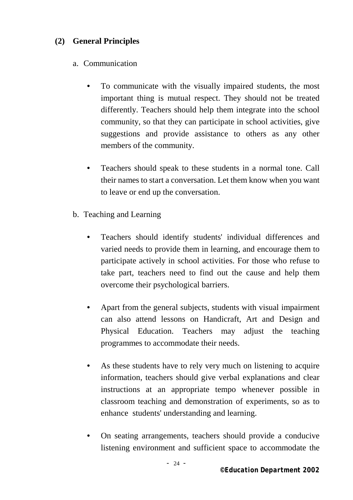### **(2) General Principles**

### a. Communication

- To communicate with the visually impaired students, the most important thing is mutual respect. They should not be treated differently. Teachers should help them integrate into the school community, so that they can participate in school activities, give suggestions and provide assistance to others as any other members of the community.
- Teachers should speak to these students in a normal tone. Call their names to start a conversation. Let them know when you want to leave or end up the conversation.
- b. Teaching and Learning
	- Teachers should identify students' individual differences and varied needs to provide them in learning, and encourage them to participate actively in school activities. For those who refuse to take part, teachers need to find out the cause and help them overcome their psychological barriers.
	- Apart from the general subjects, students with visual impairment can also attend lessons on Handicraft, Art and Design and Physical Education. Teachers may adjust the teaching programmes to accommodate their needs.
	- As these students have to rely very much on listening to acquire information, teachers should give verbal explanations and clear instructions at an appropriate tempo whenever possible in classroom teaching and demonstration of experiments, so as to enhance students' understanding and learning.
	- On seating arrangements, teachers should provide a conducive listening environment and sufficient space to accommodate the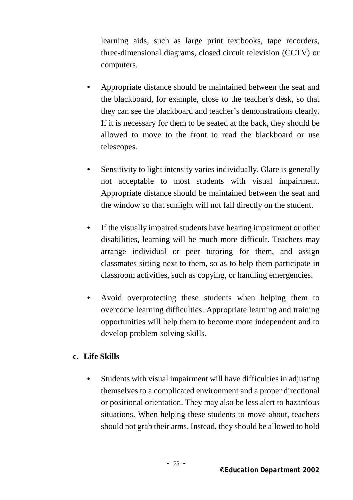learning aids, such as large print textbooks, tape recorders, three-dimensional diagrams, closed circuit television (CCTV) or computers.

- Appropriate distance should be maintained between the seat and the blackboard, for example, close to the teacher's desk, so that they can see the blackboard and teacher's demonstrations clearly. If it is necessary for them to be seated at the back, they should be allowed to move to the front to read the blackboard or use telescopes.
- Sensitivity to light intensity varies individually. Glare is generally not acceptable to most students with visual impairment. Appropriate distance should be maintained between the seat and the window so that sunlight will not fall directly on the student.
- If the visually impaired students have hearing impairment or other disabilities, learning will be much more difficult. Teachers may arrange individual or peer tutoring for them, and assign classmates sitting next to them, so as to help them participate in classroom activities, such as copying, or handling emergencies.
- Avoid overprotecting these students when helping them to overcome learning difficulties. Appropriate learning and training opportunities will help them to become more independent and to develop problem-solving skills.

#### **c. Life Skills**

• Students with visual impairment will have difficulties in adjusting themselves to a complicated environment and a proper directional or positional orientation. They may also be less alert to hazardous situations. When helping these students to move about, teachers should not grab their arms. Instead, they should be allowed to hold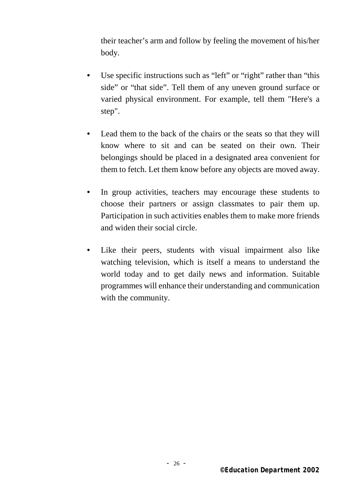their teacher's arm and follow by feeling the movement of his/her body.

- Use specific instructions such as "left" or "right" rather than "this side" or "that side". Tell them of any uneven ground surface or varied physical environment. For example, tell them "Here's a step".
- Lead them to the back of the chairs or the seats so that they will know where to sit and can be seated on their own. Their belongings should be placed in a designated area convenient for them to fetch. Let them know before any objects are moved away.
- In group activities, teachers may encourage these students to choose their partners or assign classmates to pair them up. Participation in such activities enables them to make more friends and widen their social circle.
- Like their peers, students with visual impairment also like watching television, which is itself a means to understand the world today and to get daily news and information. Suitable programmes will enhance their understanding and communication with the community.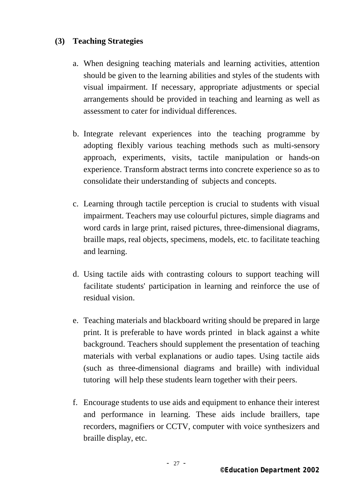### **(3) Teaching Strategies**

- a. When designing teaching materials and learning activities, attention should be given to the learning abilities and styles of the students with visual impairment. If necessary, appropriate adjustments or special arrangements should be provided in teaching and learning as well as assessment to cater for individual differences.
- b. Integrate relevant experiences into the teaching programme by adopting flexibly various teaching methods such as multi-sensory approach, experiments, visits, tactile manipulation or hands-on experience. Transform abstract terms into concrete experience so as to consolidate their understanding of subjects and concepts.
- c. Learning through tactile perception is crucial to students with visual impairment. Teachers may use colourful pictures, simple diagrams and word cards in large print, raised pictures, three-dimensional diagrams, braille maps, real objects, specimens, models, etc. to facilitate teaching and learning.
- d. Using tactile aids with contrasting colours to support teaching will facilitate students' participation in learning and reinforce the use of residual vision.
- e. Teaching materials and blackboard writing should be prepared in large print. It is preferable to have words printed in black against a white background. Teachers should supplement the presentation of teaching materials with verbal explanations or audio tapes. Using tactile aids (such as three-dimensional diagrams and braille) with individual tutoring will help these students learn together with their peers.
- f. Encourage students to use aids and equipment to enhance their interest and performance in learning. These aids include braillers, tape recorders, magnifiers or CCTV, computer with voice synthesizers and braille display, etc.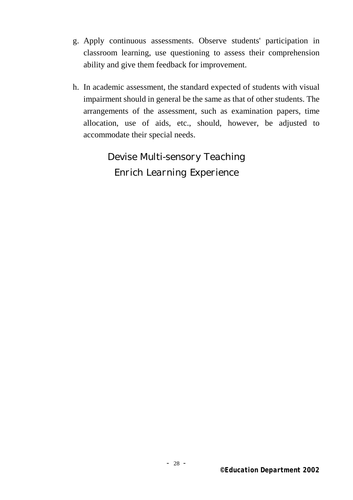- g. Apply continuous assessments. Observe students' participation in classroom learning, use questioning to assess their comprehension ability and give them feedback for improvement.
- h. In academic assessment, the standard expected of students with visual impairment should in general be the same as that of other students. The arrangements of the assessment, such as examination papers, time allocation, use of aids, etc., should, however, be adjusted to accommodate their special needs.

*Devise Multi-sensory Teaching Enrich Learning Experience*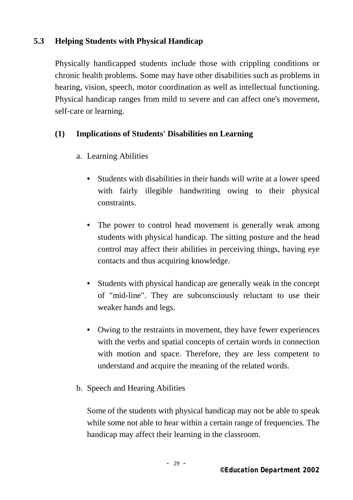### **5.3 Helping Students with Physical Handicap**

Physically handicapped students include those with crippling conditions or chronic health problems. Some may have other disabilities such as problems in hearing, vision, speech, motor coordination as well as intellectual functioning. Physical handicap ranges from mild to severe and can affect one's movement, self-care or learning.

### **(1) Implications of Students' Disabilities on Learning**

- a. Learning Abilities
	- Students with disabilities in their hands will write at a lower speed with fairly illegible handwriting owing to their physical constraints.
	- The power to control head movement is generally weak among students with physical handicap. The sitting posture and the head control may affect their abilities in perceiving things, having eye contacts and thus acquiring knowledge.
	- Students with physical handicap are generally weak in the concept of "mid-line". They are subconsciously reluctant to use their weaker hands and legs.
	- Owing to the restraints in movement, they have fewer experiences with the verbs and spatial concepts of certain words in connection with motion and space. Therefore, they are less competent to understand and acquire the meaning of the related words.
- b. Speech and Hearing Abilities

Some of the students with physical handicap may not be able to speak while some not able to hear within a certain range of frequencies. The handicap may affect their learning in the classroom.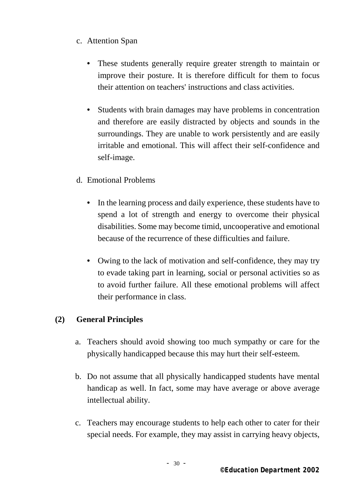### c. Attention Span

- These students generally require greater strength to maintain or improve their posture. It is therefore difficult for them to focus their attention on teachers' instructions and class activities.
- Students with brain damages may have problems in concentration and therefore are easily distracted by objects and sounds in the surroundings. They are unable to work persistently and are easily irritable and emotional. This will affect their self-confidence and self-image.
- d. Emotional Problems
	- In the learning process and daily experience, these students have to spend a lot of strength and energy to overcome their physical disabilities. Some may become timid, uncooperative and emotional because of the recurrence of these difficulties and failure.
	- Owing to the lack of motivation and self-confidence, they may try to evade taking part in learning, social or personal activities so as to avoid further failure. All these emotional problems will affect their performance in class.

#### **(2) General Principles**

- a. Teachers should avoid showing too much sympathy or care for the physically handicapped because this may hurt their self-esteem.
- b. Do not assume that all physically handicapped students have mental handicap as well. In fact, some may have average or above average intellectual ability.
- c. Teachers may encourage students to help each other to cater for their special needs. For example, they may assist in carrying heavy objects,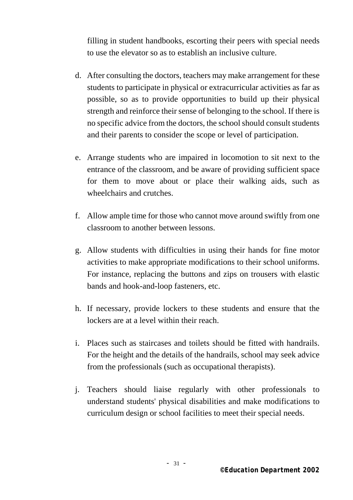filling in student handbooks, escorting their peers with special needs to use the elevator so as to establish an inclusive culture.

- d. After consulting the doctors, teachers may make arrangement for these students to participate in physical or extracurricular activities as far as possible, so as to provide opportunities to build up their physical strength and reinforce their sense of belonging to the school. If there is no specific advice from the doctors, the school should consult students and their parents to consider the scope or level of participation.
- e. Arrange students who are impaired in locomotion to sit next to the entrance of the classroom, and be aware of providing sufficient space for them to move about or place their walking aids, such as wheelchairs and crutches.
- f. Allow ample time for those who cannot move around swiftly from one classroom to another between lessons.
- g. Allow students with difficulties in using their hands for fine motor activities to make appropriate modifications to their school uniforms. For instance, replacing the buttons and zips on trousers with elastic bands and hook-and-loop fasteners, etc.
- h. If necessary, provide lockers to these students and ensure that the lockers are at a level within their reach.
- i. Places such as staircases and toilets should be fitted with handrails. For the height and the details of the handrails, school may seek advice from the professionals (such as occupational therapists).
- j. Teachers should liaise regularly with other professionals to understand students' physical disabilities and make modifications to curriculum design or school facilities to meet their special needs.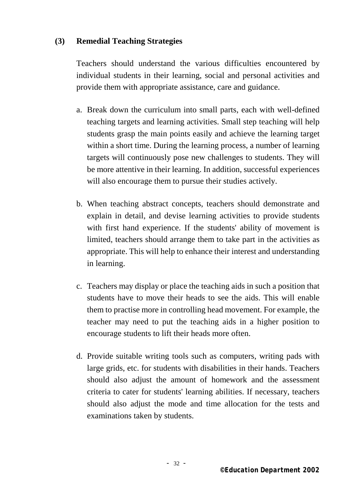#### **(3) Remedial Teaching Strategies**

Teachers should understand the various difficulties encountered by individual students in their learning, social and personal activities and provide them with appropriate assistance, care and guidance.

- a. Break down the curriculum into small parts, each with well-defined teaching targets and learning activities. Small step teaching will help students grasp the main points easily and achieve the learning target within a short time. During the learning process, a number of learning targets will continuously pose new challenges to students. They will be more attentive in their learning. In addition, successful experiences will also encourage them to pursue their studies actively.
- b. When teaching abstract concepts, teachers should demonstrate and explain in detail, and devise learning activities to provide students with first hand experience. If the students' ability of movement is limited, teachers should arrange them to take part in the activities as appropriate. This will help to enhance their interest and understanding in learning.
- c. Teachers may display or place the teaching aids in such a position that students have to move their heads to see the aids. This will enable them to practise more in controlling head movement. For example, the teacher may need to put the teaching aids in a higher position to encourage students to lift their heads more often.
- d. Provide suitable writing tools such as computers, writing pads with large grids, etc. for students with disabilities in their hands. Teachers should also adjust the amount of homework and the assessment criteria to cater for students' learning abilities. If necessary, teachers should also adjust the mode and time allocation for the tests and examinations taken by students.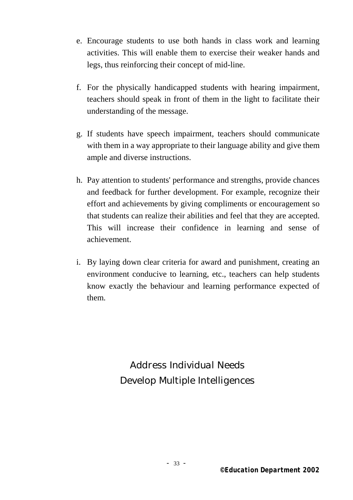- e. Encourage students to use both hands in class work and learning activities. This will enable them to exercise their weaker hands and legs, thus reinforcing their concept of mid-line.
- f. For the physically handicapped students with hearing impairment, teachers should speak in front of them in the light to facilitate their understanding of the message.
- g. If students have speech impairment, teachers should communicate with them in a way appropriate to their language ability and give them ample and diverse instructions.
- h. Pay attention to students' performance and strengths, provide chances and feedback for further development. For example, recognize their effort and achievements by giving compliments or encouragement so that students can realize their abilities and feel that they are accepted. This will increase their confidence in learning and sense of achievement.
- i. By laying down clear criteria for award and punishment, creating an environment conducive to learning, etc., teachers can help students know exactly the behaviour and learning performance expected of them.

*Address Individual Needs Develop Multiple Intelligences*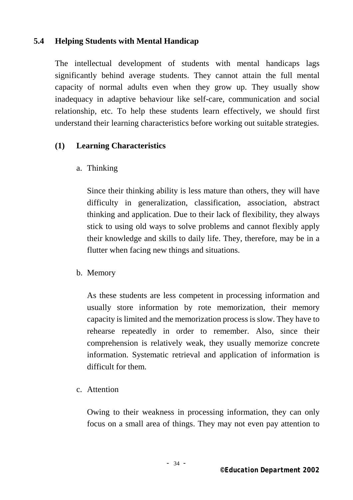### **5.4 Helping Students with Mental Handicap**

The intellectual development of students with mental handicaps lags significantly behind average students. They cannot attain the full mental capacity of normal adults even when they grow up. They usually show inadequacy in adaptive behaviour like self-care, communication and social relationship, etc. To help these students learn effectively, we should first understand their learning characteristics before working out suitable strategies.

### **(1) Learning Characteristics**

a. Thinking

Since their thinking ability is less mature than others, they will have difficulty in generalization, classification, association, abstract thinking and application. Due to their lack of flexibility, they always stick to using old ways to solve problems and cannot flexibly apply their knowledge and skills to daily life. They, therefore, may be in a flutter when facing new things and situations.

b. Memory

As these students are less competent in processing information and usually store information by rote memorization, their memory capacity is limited and the memorization process is slow. They have to rehearse repeatedly in order to remember. Also, since their comprehension is relatively weak, they usually memorize concrete information. Systematic retrieval and application of information is difficult for them.

c. Attention

Owing to their weakness in processing information, they can only focus on a small area of things. They may not even pay attention to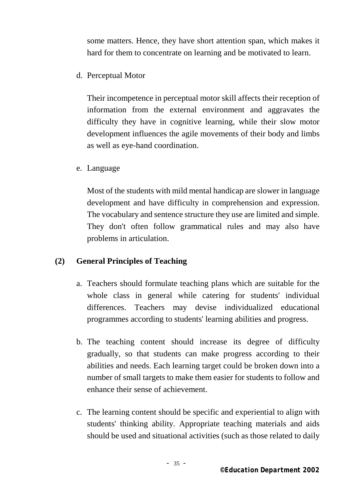some matters. Hence, they have short attention span, which makes it hard for them to concentrate on learning and be motivated to learn.

d. Perceptual Motor

Their incompetence in perceptual motor skill affects their reception of information from the external environment and aggravates the difficulty they have in cognitive learning, while their slow motor development influences the agile movements of their body and limbs as well as eye-hand coordination.

e. Language

Most of the students with mild mental handicap are slower in language development and have difficulty in comprehension and expression. The vocabulary and sentence structure they use are limited and simple. They don't often follow grammatical rules and may also have problems in articulation.

### **(2) General Principles of Teaching**

- a. Teachers should formulate teaching plans which are suitable for the whole class in general while catering for students' individual differences. Teachers may devise individualized educational programmes according to students' learning abilities and progress.
- b. The teaching content should increase its degree of difficulty gradually, so that students can make progress according to their abilities and needs. Each learning target could be broken down into a number of small targets to make them easier for students to follow and enhance their sense of achievement.
- c. The learning content should be specific and experiential to align with students' thinking ability. Appropriate teaching materials and aids should be used and situational activities (such as those related to daily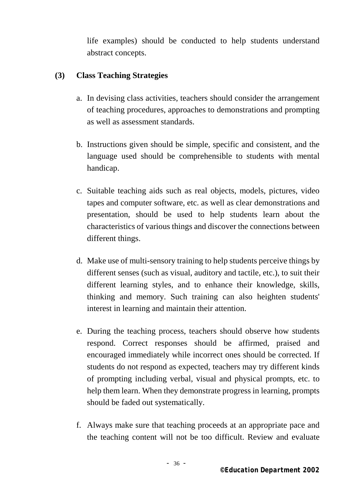life examples) should be conducted to help students understand abstract concepts.

### **(3) Class Teaching Strategies**

- a. In devising class activities, teachers should consider the arrangement of teaching procedures, approaches to demonstrations and prompting as well as assessment standards.
- b. Instructions given should be simple, specific and consistent, and the language used should be comprehensible to students with mental handicap.
- c. Suitable teaching aids such as real objects, models, pictures, video tapes and computer software, etc. as well as clear demonstrations and presentation, should be used to help students learn about the characteristics of various things and discover the connections between different things.
- d. Make use of multi-sensory training to help students perceive things by different senses (such as visual, auditory and tactile, etc.), to suit their different learning styles, and to enhance their knowledge, skills, thinking and memory. Such training can also heighten students' interest in learning and maintain their attention.
- e. During the teaching process, teachers should observe how students respond. Correct responses should be affirmed, praised and encouraged immediately while incorrect ones should be corrected. If students do not respond as expected, teachers may try different kinds of prompting including verbal, visual and physical prompts, etc. to help them learn. When they demonstrate progress in learning, prompts should be faded out systematically.
- f. Always make sure that teaching proceeds at an appropriate pace and the teaching content will not be too difficult. Review and evaluate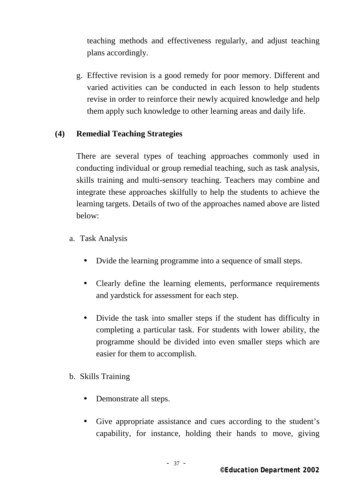teaching methods and effectiveness regularly, and adjust teaching plans accordingly.

g. Effective revision is a good remedy for poor memory. Different and varied activities can be conducted in each lesson to help students revise in order to reinforce their newly acquired knowledge and help them apply such knowledge to other learning areas and daily life.

#### **(4) Remedial Teaching Strategies**

There are several types of teaching approaches commonly used in conducting individual or group remedial teaching, such as task analysis, skills training and multi-sensory teaching. Teachers may combine and integrate these approaches skilfully to help the students to achieve the learning targets. Details of two of the approaches named above are listed below:

- a. Task Analysis
	- Dvide the learning programme into a sequence of small steps.
	- Clearly define the learning elements, performance requirements and yardstick for assessment for each step.
	- Divide the task into smaller steps if the student has difficulty in completing a particular task. For students with lower ability, the programme should be divided into even smaller steps which are easier for them to accomplish.
- b. Skills Training
	- Demonstrate all steps.
	- Give appropriate assistance and cues according to the student's capability, for instance, holding their hands to move, giving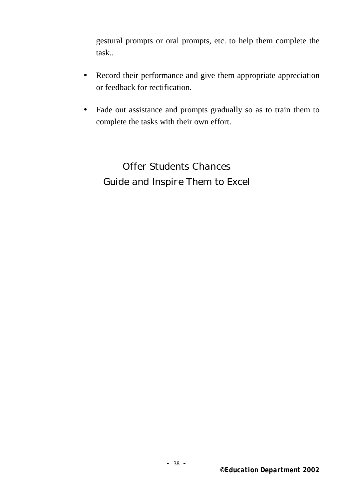gestural prompts or oral prompts, etc. to help them complete the task..

- Record their performance and give them appropriate appreciation or feedback for rectification.
- Fade out assistance and prompts gradually so as to train them to complete the tasks with their own effort.

*Offer Students Chances Guide and Inspire Them to Excel*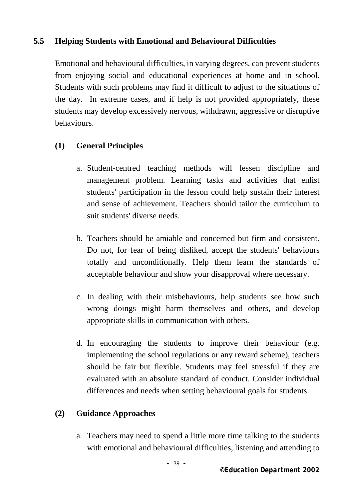### **5.5 Helping Students with Emotional and Behavioural Difficulties**

Emotional and behavioural difficulties, in varying degrees, can prevent students from enjoying social and educational experiences at home and in school. Students with such problems may find it difficult to adjust to the situations of the day. In extreme cases, and if help is not provided appropriately, these students may develop excessively nervous, withdrawn, aggressive or disruptive behaviours.

### **(1) General Principles**

- a. Student-centred teaching methods will lessen discipline and management problem. Learning tasks and activities that enlist students' participation in the lesson could help sustain their interest and sense of achievement. Teachers should tailor the curriculum to suit students' diverse needs.
- b. Teachers should be amiable and concerned but firm and consistent. Do not, for fear of being disliked, accept the students' behaviours totally and unconditionally. Help them learn the standards of acceptable behaviour and show your disapproval where necessary.
- c. In dealing with their misbehaviours, help students see how such wrong doings might harm themselves and others, and develop appropriate skills in communication with others.
- d. In encouraging the students to improve their behaviour (e.g. implementing the school regulations or any reward scheme), teachers should be fair but flexible. Students may feel stressful if they are evaluated with an absolute standard of conduct. Consider individual differences and needs when setting behavioural goals for students.

### **(2) Guidance Approaches**

a. Teachers may need to spend a little more time talking to the students with emotional and behavioural difficulties, listening and attending to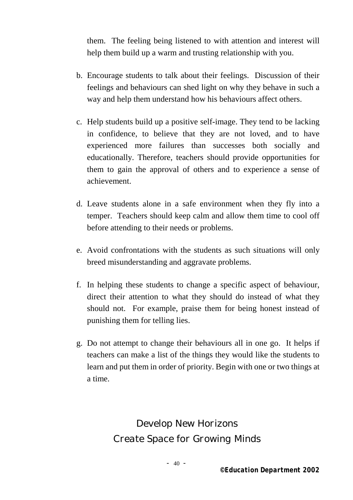them. The feeling being listened to with attention and interest will help them build up a warm and trusting relationship with you.

- b. Encourage students to talk about their feelings. Discussion of their feelings and behaviours can shed light on why they behave in such a way and help them understand how his behaviours affect others.
- c. Help students build up a positive self-image. They tend to be lacking in confidence, to believe that they are not loved, and to have experienced more failures than successes both socially and educationally. Therefore, teachers should provide opportunities for them to gain the approval of others and to experience a sense of achievement.
- d. Leave students alone in a safe environment when they fly into a temper. Teachers should keep calm and allow them time to cool off before attending to their needs or problems.
- e. Avoid confrontations with the students as such situations will only breed misunderstanding and aggravate problems.
- f. In helping these students to change a specific aspect of behaviour, direct their attention to what they should do instead of what they should not. For example, praise them for being honest instead of punishing them for telling lies.
- g. Do not attempt to change their behaviours all in one go. It helps if teachers can make a list of the things they would like the students to learn and put them in order of priority. Begin with one or two things at a time.

*Develop New Horizons Create Space for Growing Minds*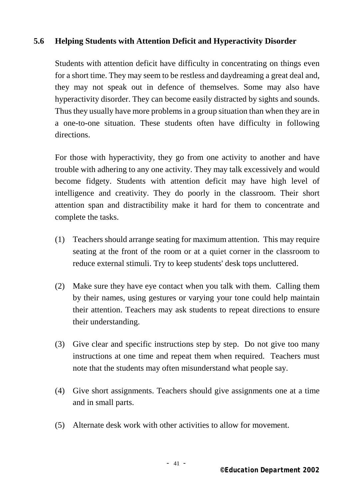### **5.6 Helping Students with Attention Deficit and Hyperactivity Disorder**

Students with attention deficit have difficulty in concentrating on things even for a short time. They may seem to be restless and daydreaming a great deal and, they may not speak out in defence of themselves. Some may also have hyperactivity disorder. They can become easily distracted by sights and sounds. Thus they usually have more problems in a group situation than when they are in a one-to-one situation. These students often have difficulty in following directions.

For those with hyperactivity, they go from one activity to another and have trouble with adhering to any one activity. They may talk excessively and would become fidgety. Students with attention deficit may have high level of intelligence and creativity. They do poorly in the classroom. Their short attention span and distractibility make it hard for them to concentrate and complete the tasks.

- (1) Teachers should arrange seating for maximum attention. This may require seating at the front of the room or at a quiet corner in the classroom to reduce external stimuli. Try to keep students' desk tops uncluttered.
- (2) Make sure they have eye contact when you talk with them. Calling them by their names, using gestures or varying your tone could help maintain their attention. Teachers may ask students to repeat directions to ensure their understanding.
- (3) Give clear and specific instructions step by step. Do not give too many instructions at one time and repeat them when required. Teachers must note that the students may often misunderstand what people say.
- (4) Give short assignments. Teachers should give assignments one at a time and in small parts.
- (5) Alternate desk work with other activities to allow for movement.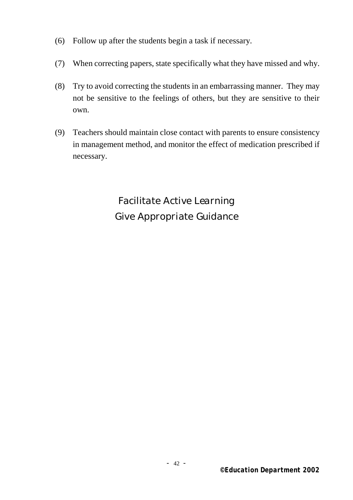- (6) Follow up after the students begin a task if necessary.
- (7) When correcting papers, state specifically what they have missed and why.
- (8) Try to avoid correcting the students in an embarrassing manner. They may not be sensitive to the feelings of others, but they are sensitive to their own.
- (9) Teachers should maintain close contact with parents to ensure consistency in management method, and monitor the effect of medication prescribed if necessary.

*Facilitate Active Learning Give Appropriate Guidance*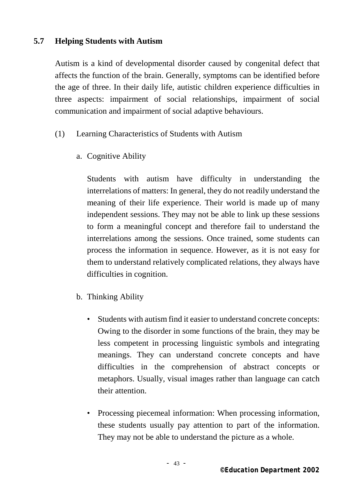### **5.7 Helping Students with Autism**

Autism is a kind of developmental disorder caused by congenital defect that affects the function of the brain. Generally, symptoms can be identified before the age of three. In their daily life, autistic children experience difficulties in three aspects: impairment of social relationships, impairment of social communication and impairment of social adaptive behaviours.

- (1) Learning Characteristics of Students with Autism
	- a. Cognitive Ability

Students with autism have difficulty in understanding the interrelations of matters: In general, they do not readily understand the meaning of their life experience. Their world is made up of many independent sessions. They may not be able to link up these sessions to form a meaningful concept and therefore fail to understand the interrelations among the sessions. Once trained, some students can process the information in sequence. However, as it is not easy for them to understand relatively complicated relations, they always have difficulties in cognition.

- b. Thinking Ability
	- Students with autism find it easier to understand concrete concepts: Owing to the disorder in some functions of the brain, they may be less competent in processing linguistic symbols and integrating meanings. They can understand concrete concepts and have difficulties in the comprehension of abstract concepts or metaphors. Usually, visual images rather than language can catch their attention.
	- Processing piecemeal information: When processing information, these students usually pay attention to part of the information. They may not be able to understand the picture as a whole.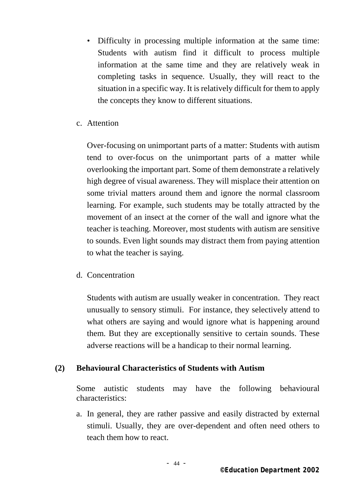- Difficulty in processing multiple information at the same time: Students with autism find it difficult to process multiple information at the same time and they are relatively weak in completing tasks in sequence. Usually, they will react to the situation in a specific way. It is relatively difficult for them to apply the concepts they know to different situations.
- c. Attention

Over-focusing on unimportant parts of a matter: Students with autism tend to over-focus on the unimportant parts of a matter while overlooking the important part. Some of them demonstrate a relatively high degree of visual awareness. They will misplace their attention on some trivial matters around them and ignore the normal classroom learning. For example, such students may be totally attracted by the movement of an insect at the corner of the wall and ignore what the teacher is teaching. Moreover, most students with autism are sensitive to sounds. Even light sounds may distract them from paying attention to what the teacher is saying.

d. Concentration

Students with autism are usually weaker in concentration. They react unusually to sensory stimuli. For instance, they selectively attend to what others are saying and would ignore what is happening around them. But they are exceptionally sensitive to certain sounds. These adverse reactions will be a handicap to their normal learning.

### **(2) Behavioural Characteristics of Students with Autism**

Some autistic students may have the following behavioural characteristics:

a. In general, they are rather passive and easily distracted by external stimuli. Usually, they are over-dependent and often need others to teach them how to react.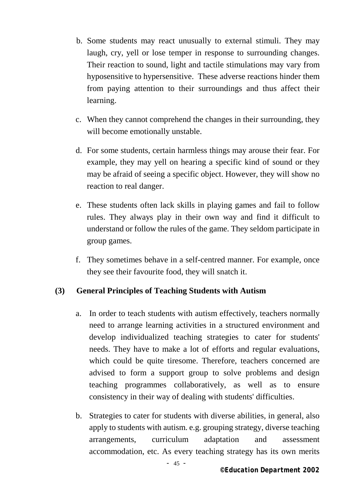- b. Some students may react unusually to external stimuli. They may laugh, cry, yell or lose temper in response to surrounding changes. Their reaction to sound, light and tactile stimulations may vary from hyposensitive to hypersensitive. These adverse reactions hinder them from paying attention to their surroundings and thus affect their learning.
- c. When they cannot comprehend the changes in their surrounding, they will become emotionally unstable.
- d. For some students, certain harmless things may arouse their fear. For example, they may yell on hearing a specific kind of sound or they may be afraid of seeing a specific object. However, they will show no reaction to real danger.
- e. These students often lack skills in playing games and fail to follow rules. They always play in their own way and find it difficult to understand or follow the rules of the game. They seldom participate in group games.
- f. They sometimes behave in a self-centred manner. For example, once they see their favourite food, they will snatch it.

### **(3) General Principles of Teaching Students with Autism**

- a. In order to teach students with autism effectively, teachers normally need to arrange learning activities in a structured environment and develop individualized teaching strategies to cater for students' needs. They have to make a lot of efforts and regular evaluations, which could be quite tiresome. Therefore, teachers concerned are advised to form a support group to solve problems and design teaching programmes collaboratively, as well as to ensure consistency in their way of dealing with students' difficulties.
- b. Strategies to cater for students with diverse abilities, in general, also apply to students with autism. e.g. grouping strategy, diverse teaching arrangements, curriculum adaptation and assessment accommodation, etc. As every teaching strategy has its own merits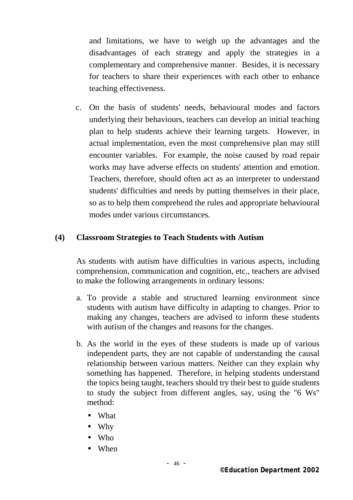and limitations, we have to weigh up the advantages and the disadvantages of each strategy and apply the strategies in a complementary and comprehensive manner. Besides, it is necessary for teachers to share their experiences with each other to enhance teaching effectiveness.

c. On the basis of students' needs, behavioural modes and factors underlying their behaviours, teachers can develop an initial teaching plan to help students achieve their learning targets. However, in actual implementation, even the most comprehensive plan may still encounter variables. For example, the noise caused by road repair works may have adverse effects on students' attention and emotion. Teachers, therefore, should often act as an interpreter to understand students' difficulties and needs by putting themselves in their place, so as to help them comprehend the rules and appropriate behavioural modes under various circumstances.

#### **(4) Classroom Strategies to Teach Students with Autism**

 As students with autism have difficulties in various aspects, including comprehension, communication and cognition, etc., teachers are advised to make the following arrangements in ordinary lessons:

- a. To provide a stable and structured learning environment since students with autism have difficulty in adapting to changes. Prior to making any changes, teachers are advised to inform these students with autism of the changes and reasons for the changes.
- b. As the world in the eyes of these students is made up of various independent parts, they are not capable of understanding the causal relationship between various matters. Neither can they explain why something has happened. Therefore, in helping students understand the topics being taught, teachers should try their best to guide students to study the subject from different angles, say, using the "6 Ws" method:

 What Why Who When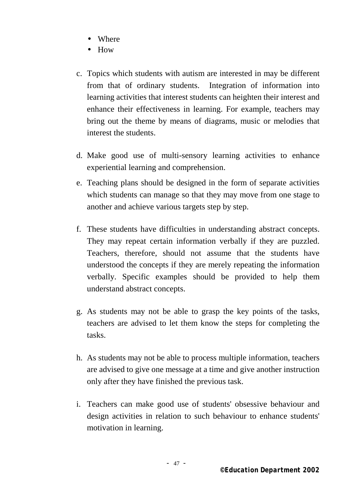Where How

- c. Topics which students with autism are interested in may be different from that of ordinary students. Integration of information into learning activities that interest students can heighten their interest and enhance their effectiveness in learning. For example, teachers may bring out the theme by means of diagrams, music or melodies that interest the students.
- d. Make good use of multi-sensory learning activities to enhance experiential learning and comprehension.
- e. Teaching plans should be designed in the form of separate activities which students can manage so that they may move from one stage to another and achieve various targets step by step.
- f. These students have difficulties in understanding abstract concepts. They may repeat certain information verbally if they are puzzled. Teachers, therefore, should not assume that the students have understood the concepts if they are merely repeating the information verbally. Specific examples should be provided to help them understand abstract concepts.
- g. As students may not be able to grasp the key points of the tasks, teachers are advised to let them know the steps for completing the tasks.
- h. As students may not be able to process multiple information, teachers are advised to give one message at a time and give another instruction only after they have finished the previous task.
- i. Teachers can make good use of students' obsessive behaviour and design activities in relation to such behaviour to enhance students' motivation in learning.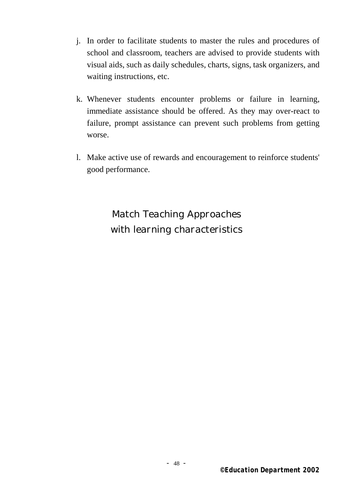- j. In order to facilitate students to master the rules and procedures of school and classroom, teachers are advised to provide students with visual aids, such as daily schedules, charts, signs, task organizers, and waiting instructions, etc.
- k. Whenever students encounter problems or failure in learning, immediate assistance should be offered. As they may over-react to failure, prompt assistance can prevent such problems from getting worse.
- l. Make active use of rewards and encouragement to reinforce students' good performance.

*Match Teaching Approaches with learning characteristics*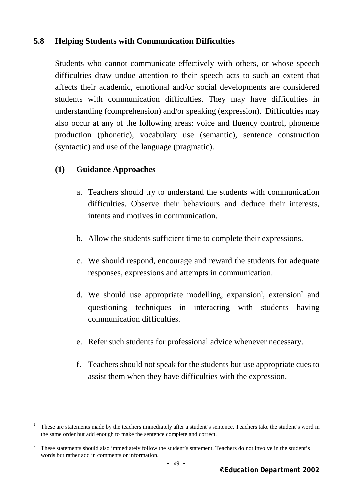### **5.8 Helping Students with Communication Difficulties**

 Students who cannot communicate effectively with others, or whose speech difficulties draw undue attention to their speech acts to such an extent that affects their academic, emotional and/or social developments are considered students with communication difficulties. They may have difficulties in understanding (comprehension) and/or speaking (expression). Difficulties may also occur at any of the following areas: voice and fluency control, phoneme production (phonetic), vocabulary use (semantic), sentence construction (syntactic) and use of the language (pragmatic).

#### **(1) Guidance Approaches**

i.

- a. Teachers should try to understand the students with communication difficulties. Observe their behaviours and deduce their interests, intents and motives in communication.
- b. Allow the students sufficient time to complete their expressions.
- c. We should respond, encourage and reward the students for adequate responses, expressions and attempts in communication.
- d. We should use appropriate modelling, expansion<sup>1</sup>, extension<sup>2</sup> and questioning techniques in interacting with students having communication difficulties.
- e. Refer such students for professional advice whenever necessary.
- f. Teachers should not speak for the students but use appropriate cues to assist them when they have difficulties with the expression.

<sup>1</sup> These are statements made by the teachers immediately after a student's sentence. Teachers take the student's word in the same order but add enough to make the sentence complete and correct.

<sup>2</sup> These statements should also immediately follow the student's statement. Teachers do not involve in the student's words but rather add in comments or information.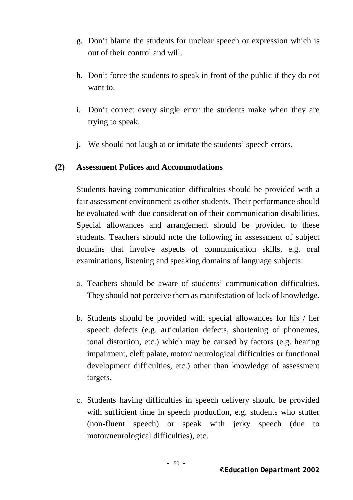- g. Don't blame the students for unclear speech or expression which is out of their control and will.
- h. Don't force the students to speak in front of the public if they do not want to.
- i. Don't correct every single error the students make when they are trying to speak.
- j. We should not laugh at or imitate the students' speech errors.

### **(2) Assessment Polices and Accommodations**

Students having communication difficulties should be provided with a fair assessment environment as other students. Their performance should be evaluated with due consideration of their communication disabilities. Special allowances and arrangement should be provided to these students. Teachers should note the following in assessment of subject domains that involve aspects of communication skills, e.g. oral examinations, listening and speaking domains of language subjects:

- a. Teachers should be aware of students' communication difficulties. They should not perceive them as manifestation of lack of knowledge.
- b. Students should be provided with special allowances for his / her speech defects (e.g. articulation defects, shortening of phonemes, tonal distortion, etc.) which may be caused by factors (e.g. hearing impairment, cleft palate, motor/ neurological difficulties or functional development difficulties, etc.) other than knowledge of assessment targets.
- c. Students having difficulties in speech delivery should be provided with sufficient time in speech production, e.g. students who stutter (non-fluent speech) or speak with jerky speech (due to motor/neurological difficulties), etc.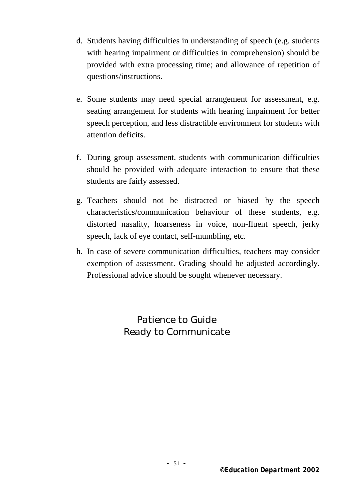- d. Students having difficulties in understanding of speech (e.g. students with hearing impairment or difficulties in comprehension) should be provided with extra processing time; and allowance of repetition of questions/instructions.
- e. Some students may need special arrangement for assessment, e.g. seating arrangement for students with hearing impairment for better speech perception, and less distractible environment for students with attention deficits.
- f. During group assessment, students with communication difficulties should be provided with adequate interaction to ensure that these students are fairly assessed.
- g. Teachers should not be distracted or biased by the speech characteristics/communication behaviour of these students, e.g. distorted nasality, hoarseness in voice, non-fluent speech, jerky speech, lack of eye contact, self-mumbling, etc.
- h. In case of severe communication difficulties, teachers may consider exemption of assessment. Grading should be adjusted accordingly. Professional advice should be sought whenever necessary.

*Patience to Guide Ready to Communicate*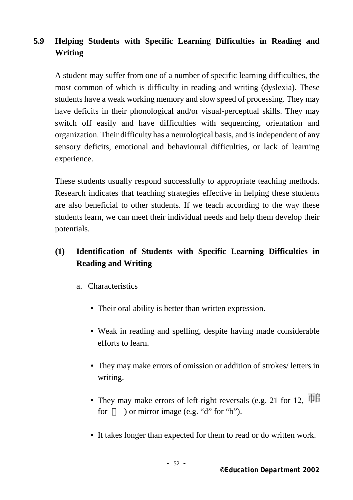# **5.9 Helping Students with Specific Learning Difficulties in Reading and Writing**

A student may suffer from one of a number of specific learning difficulties, the most common of which is difficulty in reading and writing (dyslexia). These students have a weak working memory and slow speed of processing. They may have deficits in their phonological and/or visual-perceptual skills. They may switch off easily and have difficulties with sequencing, orientation and organization. Their difficulty has a neurological basis, and is independent of any sensory deficits, emotional and behavioural difficulties, or lack of learning experience.

These students usually respond successfully to appropriate teaching methods. Research indicates that teaching strategies effective in helping these students are also beneficial to other students. If we teach according to the way these students learn, we can meet their individual needs and help them develop their potentials.

# **(1) Identification of Students with Specific Learning Difficulties in Reading and Writing**

- a. Characteristics
	- Their oral ability is better than written expression.
	- Weak in reading and spelling, despite having made considerable efforts to learn.
	- They may make errors of omission or addition of strokes/ letters in writing.
	- They may make errors of left-right reversals (e.g. 21 for 12,  $\overline{\text{TH}}$ for ) or mirror image (e.g. "d" for "b").
	- It takes longer than expected for them to read or do written work.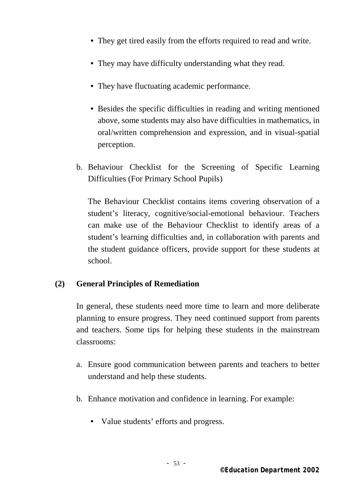- They get tired easily from the efforts required to read and write.
- They may have difficulty understanding what they read.
- They have fluctuating academic performance.
- Besides the specific difficulties in reading and writing mentioned above, some students may also have difficulties in mathematics, in oral/written comprehension and expression, and in visual-spatial perception.
- b. Behaviour Checklist for the Screening of Specific Learning Difficulties (For Primary School Pupils)

The Behaviour Checklist contains items covering observation of a student's literacy, cognitive/social-emotional behaviour. Teachers can make use of the Behaviour Checklist to identify areas of a student's learning difficulties and, in collaboration with parents and the student guidance officers, provide support for these students at school.

### **(2) General Principles of Remediation**

In general, these students need more time to learn and more deliberate planning to ensure progress. They need continued support from parents and teachers. Some tips for helping these students in the mainstream classrooms:

- a. Ensure good communication between parents and teachers to better understand and help these students.
- b. Enhance motivation and confidence in learning. For example:
	- Value students' efforts and progress.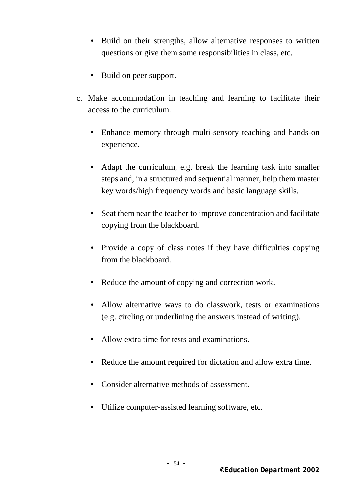- Build on their strengths, allow alternative responses to written questions or give them some responsibilities in class, etc.
- Build on peer support.
- c. Make accommodation in teaching and learning to facilitate their access to the curriculum.
	- Enhance memory through multi-sensory teaching and hands-on experience.
	- Adapt the curriculum, e.g. break the learning task into smaller steps and, in a structured and sequential manner, help them master key words/high frequency words and basic language skills.
	- Seat them near the teacher to improve concentration and facilitate copying from the blackboard.
	- Provide a copy of class notes if they have difficulties copying from the blackboard.
	- Reduce the amount of copying and correction work.
	- Allow alternative ways to do classwork, tests or examinations (e.g. circling or underlining the answers instead of writing).
	- Allow extra time for tests and examinations.
	- Reduce the amount required for dictation and allow extra time.
	- Consider alternative methods of assessment.
	- Utilize computer-assisted learning software, etc.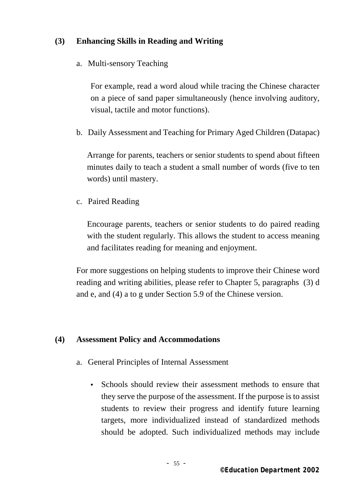### **(3) Enhancing Skills in Reading and Writing**

a. Multi-sensory Teaching

For example, read a word aloud while tracing the Chinese character on a piece of sand paper simultaneously (hence involving auditory, visual, tactile and motor functions).

b. Daily Assessment and Teaching for Primary Aged Children (Datapac)

Arrange for parents, teachers or senior students to spend about fifteen minutes daily to teach a student a small number of words (five to ten words) until mastery.

c. Paired Reading

Encourage parents, teachers or senior students to do paired reading with the student regularly. This allows the student to access meaning and facilitates reading for meaning and enjoyment.

For more suggestions on helping students to improve their Chinese word reading and writing abilities, please refer to Chapter 5, paragraphs (3) d and e, and (4) a to g under Section 5.9 of the Chinese version.

### **(4) Assessment Policy and Accommodations**

- a. General Principles of Internal Assessment
	- Schools should review their assessment methods to ensure that they serve the purpose of the assessment. If the purpose is to assist students to review their progress and identify future learning targets, more individualized instead of standardized methods should be adopted. Such individualized methods may include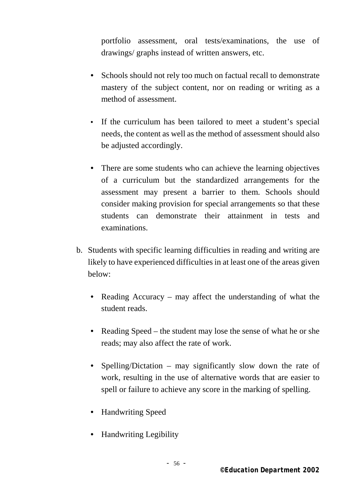portfolio assessment, oral tests/examinations, the use of drawings/ graphs instead of written answers, etc.

- Schools should not rely too much on factual recall to demonstrate mastery of the subject content, nor on reading or writing as a method of assessment.
- If the curriculum has been tailored to meet a student's special needs, the content as well as the method of assessment should also be adjusted accordingly.
- There are some students who can achieve the learning objectives of a curriculum but the standardized arrangements for the assessment may present a barrier to them. Schools should consider making provision for special arrangements so that these students can demonstrate their attainment in tests and examinations.
- b. Students with specific learning difficulties in reading and writing are likely to have experienced difficulties in at least one of the areas given below:
	- Reading Accuracy may affect the understanding of what the student reads.
	- Reading Speed the student may lose the sense of what he or she reads; may also affect the rate of work.
	- Spelling/Dictation may significantly slow down the rate of work, resulting in the use of alternative words that are easier to spell or failure to achieve any score in the marking of spelling.
	- Handwriting Speed
	- Handwriting Legibility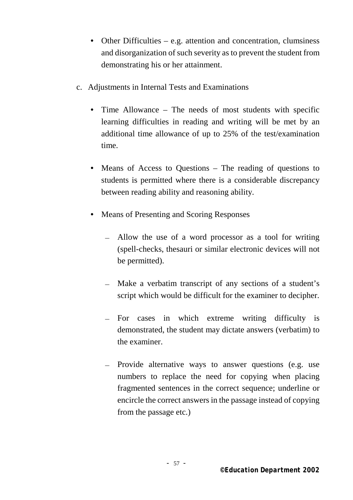- Other Difficulties e.g. attention and concentration, clumsiness and disorganization of such severity as to prevent the student from demonstrating his or her attainment.
- c. Adjustments in Internal Tests and Examinations
	- Time Allowance The needs of most students with specific learning difficulties in reading and writing will be met by an additional time allowance of up to 25% of the test/examination time.
	- Means of Access to Questions The reading of questions to students is permitted where there is a considerable discrepancy between reading ability and reasoning ability.
	- Means of Presenting and Scoring Responses
		- Allow the use of a word processor as a tool for writing (spell-checks, thesauri or similar electronic devices will not be permitted).
		- Make a verbatim transcript of any sections of a student's script which would be difficult for the examiner to decipher.
		- For cases in which extreme writing difficulty is demonstrated, the student may dictate answers (verbatim) to the examiner.
		- Provide alternative ways to answer questions (e.g. use numbers to replace the need for copying when placing fragmented sentences in the correct sequence; underline or encircle the correct answers in the passage instead of copying from the passage etc.)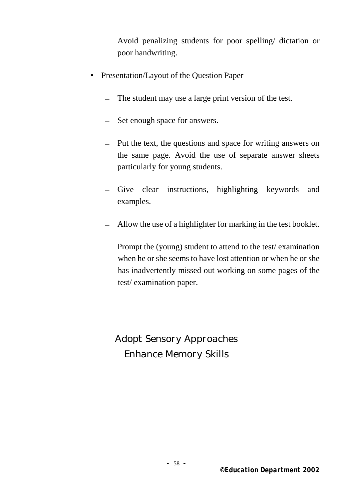- Avoid penalizing students for poor spelling/ dictation or poor handwriting.
- Presentation/Layout of the Question Paper
	- The student may use a large print version of the test.
	- Set enough space for answers.
	- Put the text, the questions and space for writing answers on the same page. Avoid the use of separate answer sheets particularly for young students.
	- Give clear instructions, highlighting keywords and examples.
	- Allow the use of a highlighter for marking in the test booklet.
	- Prompt the (young) student to attend to the test/ examination when he or she seems to have lost attention or when he or she has inadvertently missed out working on some pages of the test/ examination paper.

*Adopt Sensory Approaches Enhance Memory Skills*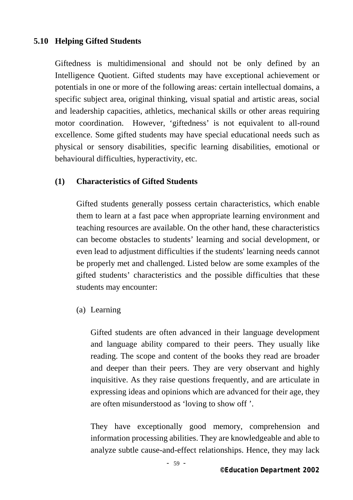### **5.10 Helping Gifted Students**

Giftedness is multidimensional and should not be only defined by an Intelligence Quotient. Gifted students may have exceptional achievement or potentials in one or more of the following areas: certain intellectual domains, a specific subject area, original thinking, visual spatial and artistic areas, social and leadership capacities, athletics, mechanical skills or other areas requiring motor coordination. However, 'giftedness' is not equivalent to all-round excellence. Some gifted students may have special educational needs such as physical or sensory disabilities, specific learning disabilities, emotional or behavioural difficulties, hyperactivity, etc.

### **(1) Characteristics of Gifted Students**

Gifted students generally possess certain characteristics, which enable them to learn at a fast pace when appropriate learning environment and teaching resources are available. On the other hand, these characteristics can become obstacles to students' learning and social development, or even lead to adjustment difficulties if the students' learning needs cannot be properly met and challenged. Listed below are some examples of the gifted students' characteristics and the possible difficulties that these students may encounter:

(a) Learning

Gifted students are often advanced in their language development and language ability compared to their peers. They usually like reading. The scope and content of the books they read are broader and deeper than their peers. They are very observant and highly inquisitive. As they raise questions frequently, and are articulate in expressing ideas and opinions which are advanced for their age, they are often misunderstood as 'loving to show off '.

They have exceptionally good memory, comprehension and information processing abilities. They are knowledgeable and able to analyze subtle cause-and-effect relationships. Hence, they may lack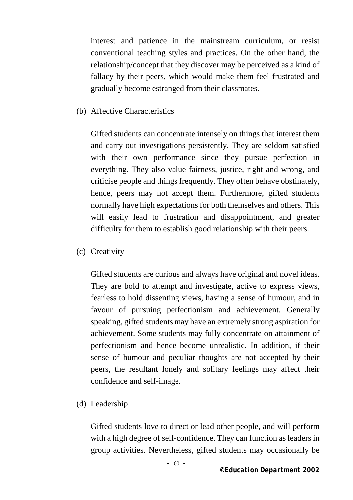interest and patience in the mainstream curriculum, or resist conventional teaching styles and practices. On the other hand, the relationship/concept that they discover may be perceived as a kind of fallacy by their peers, which would make them feel frustrated and gradually become estranged from their classmates.

(b) Affective Characteristics

Gifted students can concentrate intensely on things that interest them and carry out investigations persistently. They are seldom satisfied with their own performance since they pursue perfection in everything. They also value fairness, justice, right and wrong, and criticise people and things frequently. They often behave obstinately, hence, peers may not accept them. Furthermore, gifted students normally have high expectations for both themselves and others. This will easily lead to frustration and disappointment, and greater difficulty for them to establish good relationship with their peers.

(c) Creativity

Gifted students are curious and always have original and novel ideas. They are bold to attempt and investigate, active to express views, fearless to hold dissenting views, having a sense of humour, and in favour of pursuing perfectionism and achievement. Generally speaking, gifted students may have an extremely strong aspiration for achievement. Some students may fully concentrate on attainment of perfectionism and hence become unrealistic. In addition, if their sense of humour and peculiar thoughts are not accepted by their peers, the resultant lonely and solitary feelings may affect their confidence and self-image.

(d) Leadership

Gifted students love to direct or lead other people, and will perform with a high degree of self-confidence. They can function as leaders in group activities. Nevertheless, gifted students may occasionally be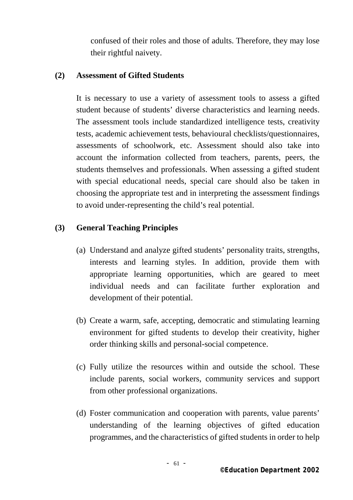confused of their roles and those of adults. Therefore, they may lose their rightful naivety.

#### **(2) Assessment of Gifted Students**

It is necessary to use a variety of assessment tools to assess a gifted student because of students' diverse characteristics and learning needs. The assessment tools include standardized intelligence tests, creativity tests, academic achievement tests, behavioural checklists/questionnaires, assessments of schoolwork, etc. Assessment should also take into account the information collected from teachers, parents, peers, the students themselves and professionals. When assessing a gifted student with special educational needs, special care should also be taken in choosing the appropriate test and in interpreting the assessment findings to avoid under-representing the child's real potential.

#### **(3) General Teaching Principles**

- (a) Understand and analyze gifted students' personality traits, strengths, interests and learning styles. In addition, provide them with appropriate learning opportunities, which are geared to meet individual needs and can facilitate further exploration and development of their potential.
- (b) Create a warm, safe, accepting, democratic and stimulating learning environment for gifted students to develop their creativity, higher order thinking skills and personal-social competence.
- (c) Fully utilize the resources within and outside the school. These include parents, social workers, community services and support from other professional organizations.
- (d) Foster communication and cooperation with parents, value parents' understanding of the learning objectives of gifted education programmes, and the characteristics of gifted students in order to help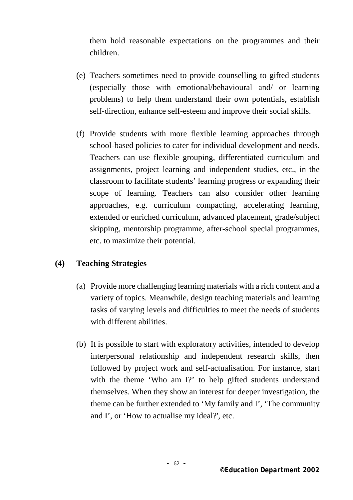them hold reasonable expectations on the programmes and their children.

- (e) Teachers sometimes need to provide counselling to gifted students (especially those with emotional/behavioural and/ or learning problems) to help them understand their own potentials, establish self-direction, enhance self-esteem and improve their social skills.
- (f) Provide students with more flexible learning approaches through school-based policies to cater for individual development and needs. Teachers can use flexible grouping, differentiated curriculum and assignments, project learning and independent studies, etc., in the classroom to facilitate students' learning progress or expanding their scope of learning. Teachers can also consider other learning approaches, e.g. curriculum compacting, accelerating learning, extended or enriched curriculum, advanced placement, grade/subject skipping, mentorship programme, after-school special programmes, etc. to maximize their potential.

#### **(4) Teaching Strategies**

- (a) Provide more challenging learning materials with a rich content and a variety of topics. Meanwhile, design teaching materials and learning tasks of varying levels and difficulties to meet the needs of students with different abilities.
- (b) It is possible to start with exploratory activities, intended to develop interpersonal relationship and independent research skills, then followed by project work and self-actualisation. For instance, start with the theme 'Who am I?' to help gifted students understand themselves. When they show an interest for deeper investigation, the theme can be further extended to 'My family and I', 'The community and I', or 'How to actualise my ideal?', etc.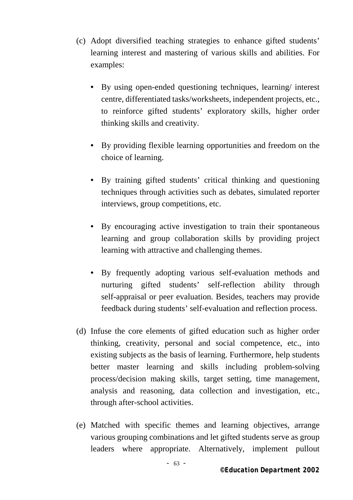- (c) Adopt diversified teaching strategies to enhance gifted students' learning interest and mastering of various skills and abilities. For examples:
	- By using open-ended questioning techniques, learning/ interest centre, differentiated tasks/worksheets, independent projects, etc., to reinforce gifted students' exploratory skills, higher order thinking skills and creativity.
	- By providing flexible learning opportunities and freedom on the choice of learning.
	- By training gifted students' critical thinking and questioning techniques through activities such as debates, simulated reporter interviews, group competitions, etc.
	- By encouraging active investigation to train their spontaneous learning and group collaboration skills by providing project learning with attractive and challenging themes.
	- By frequently adopting various self-evaluation methods and nurturing gifted students' self-reflection ability through self-appraisal or peer evaluation. Besides, teachers may provide feedback during students' self-evaluation and reflection process.
- (d) Infuse the core elements of gifted education such as higher order thinking, creativity, personal and social competence, etc., into existing subjects as the basis of learning. Furthermore, help students better master learning and skills including problem-solving process/decision making skills, target setting, time management, analysis and reasoning, data collection and investigation, etc., through after-school activities.
- (e) Matched with specific themes and learning objectives, arrange various grouping combinations and let gifted students serve as group leaders where appropriate. Alternatively, implement pullout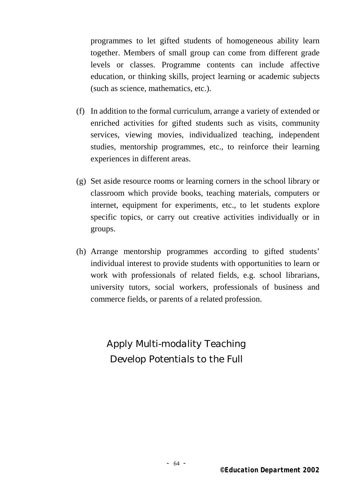programmes to let gifted students of homogeneous ability learn together. Members of small group can come from different grade levels or classes. Programme contents can include affective education, or thinking skills, project learning or academic subjects (such as science, mathematics, etc.).

- (f) In addition to the formal curriculum, arrange a variety of extended or enriched activities for gifted students such as visits, community services, viewing movies, individualized teaching, independent studies, mentorship programmes, etc., to reinforce their learning experiences in different areas.
- (g) Set aside resource rooms or learning corners in the school library or classroom which provide books, teaching materials, computers or internet, equipment for experiments, etc., to let students explore specific topics, or carry out creative activities individually or in groups.
- (h) Arrange mentorship programmes according to gifted students' individual interest to provide students with opportunities to learn or work with professionals of related fields, e.g. school librarians, university tutors, social workers, professionals of business and commerce fields, or parents of a related profession.

*Apply Multi-modality Teaching Develop Potentials to the Full*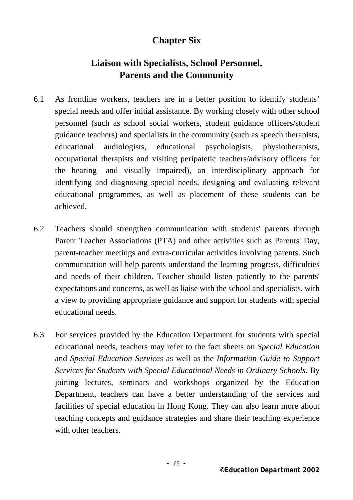# **Chapter Six**

# **Liaison with Specialists, School Personnel, Parents and the Community**

- 6.1 As frontline workers, teachers are in a better position to identify students' special needs and offer initial assistance. By working closely with other school personnel (such as school social workers, student guidance officers/student guidance teachers) and specialists in the community (such as speech therapists, educational audiologists, educational psychologists, physiotherapists, occupational therapists and visiting peripatetic teachers/advisory officers for the hearing- and visually impaired), an interdisciplinary approach for identifying and diagnosing special needs, designing and evaluating relevant educational programmes, as well as placement of these students can be achieved.
- 6.2 Teachers should strengthen communication with students' parents through Parent Teacher Associations (PTA) and other activities such as Parents' Day, parent-teacher meetings and extra-curricular activities involving parents. Such communication will help parents understand the learning progress, difficulties and needs of their children. Teacher should listen patiently to the parents' expectations and concerns, as well as liaise with the school and specialists, with a view to providing appropriate guidance and support for students with special educational needs.
- 6.3 For services provided by the Education Department for students with special educational needs, teachers may refer to the fact sheets on *Special Education* and *Special Education Services* as well as the *Information Guide to Support Services for Students with Special Educational Needs in Ordinary Schools*. By joining lectures, seminars and workshops organized by the Education Department, teachers can have a better understanding of the services and facilities of special education in Hong Kong. They can also learn more about teaching concepts and guidance strategies and share their teaching experience with other teachers.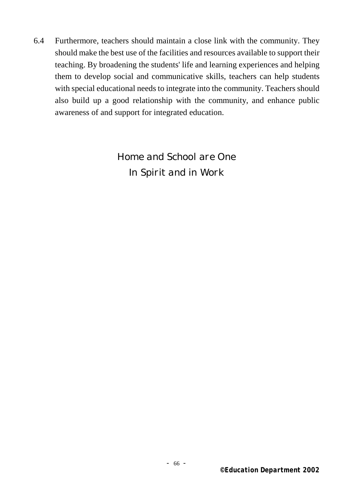6.4 Furthermore, teachers should maintain a close link with the community. They should make the best use of the facilities and resources available to support their teaching. By broadening the students' life and learning experiences and helping them to develop social and communicative skills, teachers can help students with special educational needs to integrate into the community. Teachers should also build up a good relationship with the community, and enhance public awareness of and support for integrated education.

# *Home and School are One In Spirit and in Work*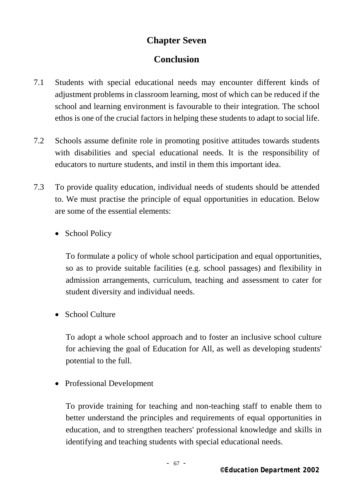## **Chapter Seven**

# **Conclusion**

- 7.1 Students with special educational needs may encounter different kinds of adjustment problems in classroom learning, most of which can be reduced if the school and learning environment is favourable to their integration. The school ethos is one of the crucial factors in helping these students to adapt to social life.
- 7.2 Schools assume definite role in promoting positive attitudes towards students with disabilities and special educational needs. It is the responsibility of educators to nurture students, and instil in them this important idea.
- 7.3 To provide quality education, individual needs of students should be attended to. We must practise the principle of equal opportunities in education. Below are some of the essential elements:
	- School Policy

To formulate a policy of whole school participation and equal opportunities, so as to provide suitable facilities (e.g. school passages) and flexibility in admission arrangements, curriculum, teaching and assessment to cater for student diversity and individual needs.

• School Culture

To adopt a whole school approach and to foster an inclusive school culture for achieving the goal of Education for All, as well as developing students' potential to the full.

• Professional Development

To provide training for teaching and non-teaching staff to enable them to better understand the principles and requirements of equal opportunities in education, and to strengthen teachers' professional knowledge and skills in identifying and teaching students with special educational needs.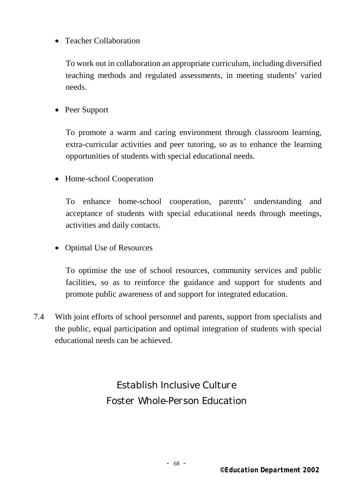• Teacher Collaboration

To work out in collaboration an appropriate curriculum, including diversified teaching methods and regulated assessments, in meeting students' varied needs.

• Peer Support

To promote a warm and caring environment through classroom learning, extra-curricular activities and peer tutoring, so as to enhance the learning opportunities of students with special educational needs.

• Home-school Cooperation

To enhance home-school cooperation, parents' understanding and acceptance of students with special educational needs through meetings, activities and daily contacts.

• Optimal Use of Resources

To optimise the use of school resources, community services and public facilities, so as to reinforce the guidance and support for students and promote public awareness of and support for integrated education.

7.4 With joint efforts of school personnel and parents, support from specialists and the public, equal participation and optimal integration of students with special educational needs can be achieved.

> *Establish Inclusive Culture Foster Whole-Person Education*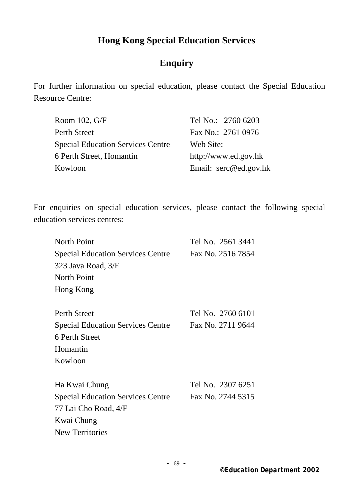# **Hong Kong Special Education Services**

# **Enquiry**

For further information on special education, please contact the Special Education Resource Centre:

| Tel No.: 2760 6203    |
|-----------------------|
| Fax No.: 2761 0976    |
| Web Site:             |
| http://www.ed.gov.hk  |
| Email: serc@ed.gov.hk |
|                       |

For enquiries on special education services, please contact the following special education services centres:

| <b>North Point</b>                       | Tel No. 2561 3441 |
|------------------------------------------|-------------------|
| <b>Special Education Services Centre</b> | Fax No. 2516 7854 |
| 323 Java Road, 3/F                       |                   |
| <b>North Point</b>                       |                   |
| Hong Kong                                |                   |
|                                          |                   |
| Perth Street                             | Tel No. 2760 6101 |
| <b>Special Education Services Centre</b> | Fax No. 2711 9644 |
| 6 Perth Street                           |                   |
| Homantin                                 |                   |
| Kowloon                                  |                   |
| Ha Kwai Chung                            | Tel No. 2307 6251 |
| <b>Special Education Services Centre</b> | Fax No. 2744 5315 |
|                                          |                   |
| 77 Lai Cho Road, 4/F                     |                   |
| Kwai Chung                               |                   |
| <b>New Territories</b>                   |                   |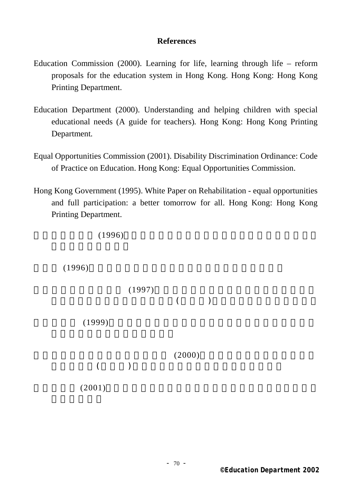#### **References**

- Education Commission (2000). Learning for life, learning through life reform proposals for the education system in Hong Kong. Hong Kong: Hong Kong Printing Department.
- Education Department (2000). Understanding and helping children with special educational needs (A guide for teachers)*.* Hong Kong: Hong Kong Printing Department*.*
- Equal Opportunities Commission (2001). Disability Discrimination Ordinance: Code of Practice on Education. Hong Kong: Equal Opportunities Commission.
- Hong Kong Government (1995). White Paper on Rehabilitation equal opportunities and full participation: a better tomorrow for all. Hong Kong: Hong Kong Printing Department.

 $(1996)$ 

 $(1996)$ 

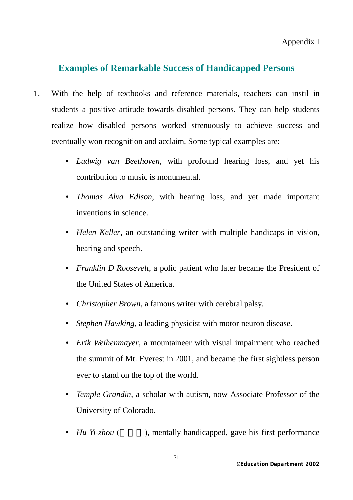Appendix I

# **Examples of Remarkable Success of Handicapped Persons**

- 1. With the help of textbooks and reference materials, teachers can instil in students a positive attitude towards disabled persons. They can help students realize how disabled persons worked strenuously to achieve success and eventually won recognition and acclaim. Some typical examples are:
	- *Ludwig van Beethoven*, with profound hearing loss, and yet his contribution to music is monumental.
	- *Thomas Alva Edison*, with hearing loss, and yet made important inventions in science.
	- *Helen Keller*, an outstanding writer with multiple handicaps in vision, hearing and speech.
	- *Franklin D Roosevelt*, a polio patient who later became the President of the United States of America.
	- *Christopher Brown*, a famous writer with cerebral palsy.
	- *Stephen Hawking*, a leading physicist with motor neuron disease.
	- *Erik Weihenmayer*, a mountaineer with visual impairment who reached the summit of Mt. Everest in 2001, and became the first sightless person ever to stand on the top of the world.
	- *Temple Grandin*, a scholar with autism, now Associate Professor of the University of Colorado.
	- *Hu Yi-zhou* (), mentally handicapped, gave his first performance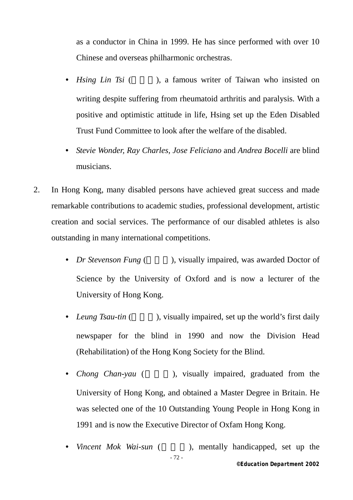as a conductor in China in 1999. He has since performed with over 10 Chinese and overseas philharmonic orchestras.

- *Hsing Lin Tsi* ( ), a famous writer of Taiwan who insisted on writing despite suffering from rheumatoid arthritis and paralysis. With a positive and optimistic attitude in life, Hsing set up the Eden Disabled Trust Fund Committee to look after the welfare of the disabled.
- *Stevie Wonder, Ray Charles, Jose Feliciano* and *Andrea Bocelli* are blind musicians.
- 2. In Hong Kong, many disabled persons have achieved great success and made remarkable contributions to academic studies, professional development, artistic creation and social services. The performance of our disabled athletes is also outstanding in many international competitions.
	- *Dr Stevenson Fung* (  $\blacksquare$  ), visually impaired, was awarded Doctor of Science by the University of Oxford and is now a lecturer of the University of Hong Kong.
	- *Leung Tsau-tin* (), visually impaired, set up the world's first daily newspaper for the blind in 1990 and now the Division Head (Rehabilitation) of the Hong Kong Society for the Blind.
	- *Chong Chan-yau* ( ), visually impaired, graduated from the University of Hong Kong, and obtained a Master Degree in Britain. He was selected one of the 10 Outstanding Young People in Hong Kong in 1991 and is now the Executive Director of Oxfam Hong Kong.
	- *©Education Department 2002*  - 72 - • *Vincent Mok Wai-sun* (  $\qquad$  ), mentally handicapped, set up the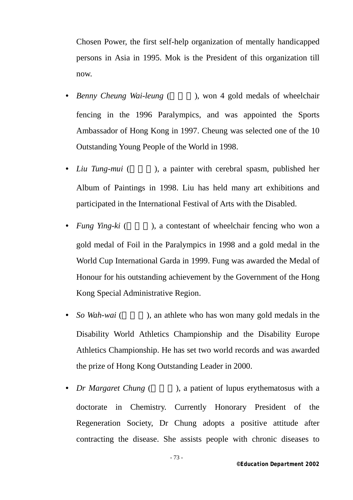Chosen Power, the first self-help organization of mentally handicapped persons in Asia in 1995. Mok is the President of this organization till now.

- *Benny Cheung Wai-leung* (  $\ldots$  ), won 4 gold medals of wheelchair fencing in the 1996 Paralympics, and was appointed the Sports Ambassador of Hong Kong in 1997. Cheung was selected one of the 10 Outstanding Young People of the World in 1998.
- *Liu Tung-mui* (), a painter with cerebral spasm, published her Album of Paintings in 1998. Liu has held many art exhibitions and participated in the International Festival of Arts with the Disabled.
- *Fung Ying-ki* (), a contestant of wheelchair fencing who won a gold medal of Foil in the Paralympics in 1998 and a gold medal in the World Cup International Garda in 1999. Fung was awarded the Medal of Honour for his outstanding achievement by the Government of the Hong Kong Special Administrative Region.
- *So Wah-wai* (  $\blacksquare$  ), an athlete who has won many gold medals in the Disability World Athletics Championship and the Disability Europe Athletics Championship. He has set two world records and was awarded the prize of Hong Kong Outstanding Leader in 2000.
- *Dr Margaret Chung* (), a patient of lupus erythematosus with a doctorate in Chemistry. Currently Honorary President of the Regeneration Society, Dr Chung adopts a positive attitude after contracting the disease. She assists people with chronic diseases to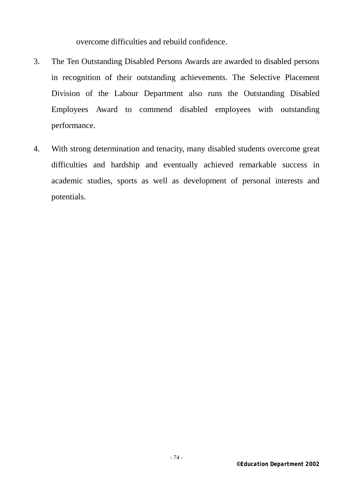overcome difficulties and rebuild confidence.

- 3. The Ten Outstanding Disabled Persons Awards are awarded to disabled persons in recognition of their outstanding achievements. The Selective Placement Division of the Labour Department also runs the Outstanding Disabled Employees Award to commend disabled employees with outstanding performance.
- 4. With strong determination and tenacity, many disabled students overcome great difficulties and hardship and eventually achieved remarkable success in academic studies, sports as well as development of personal interests and potentials.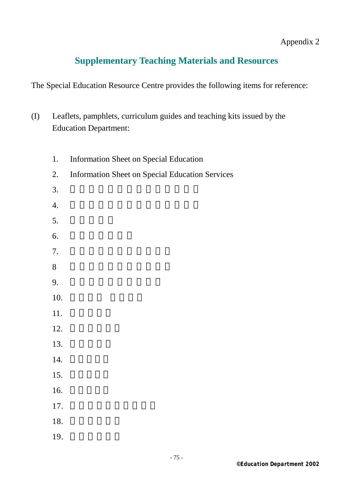Appendix 2

# **Supplementary Teaching Materials and Resources**

The Special Education Resource Centre provides the following items for reference:

- (I) Leaflets, pamphlets, curriculum guides and teaching kits issued by the Education Department:
- 1. Information Sheet on Special Education 2. Information Sheet on Special Education Services  $3.$  4. 身體弱能學童輔導教學服務簡介 5. 匡導班簡介 6. 言語治療服務組  $7.$  $8$  9. 如何協助子女有效學習 10. 11. 12. 13.  $14.$ 15. 16. 17. 你孩子的聽覺有問題嗎 18. 19.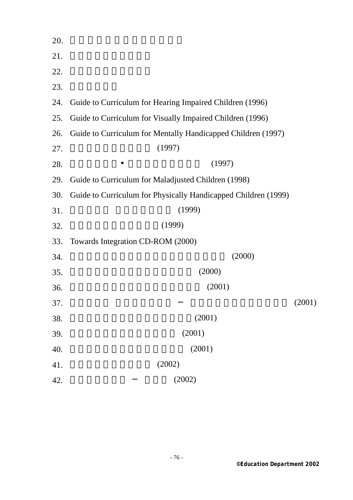| 20. |                                                                |        |
|-----|----------------------------------------------------------------|--------|
| 21. |                                                                |        |
| 22. |                                                                |        |
| 23. |                                                                |        |
| 24. | Guide to Curriculum for Hearing Impaired Children (1996)       |        |
| 25. | Guide to Curriculum for Visually Impaired Children (1996)      |        |
| 26. | Guide to Curriculum for Mentally Handicapped Children (1997)   |        |
| 27. | (1997)                                                         |        |
| 28. | (1997)                                                         |        |
| 29. | Guide to Curriculum for Maladjusted Children (1998)            |        |
| 30. | Guide to Curriculum for Physically Handicapped Children (1999) |        |
| 31. | (1999)                                                         |        |
| 32. | (1999)                                                         |        |
| 33. | Towards Integration CD-ROM (2000)                              |        |
| 34. | (2000)                                                         |        |
| 35. | (2000)                                                         |        |
| 36. | (2001)                                                         |        |
| 37. |                                                                | (2001) |
| 38. | (2001)                                                         |        |
| 39. | (2001)                                                         |        |
| 40. | (2001)                                                         |        |
| 41. | (2002)                                                         |        |
| 42. | (2002)                                                         |        |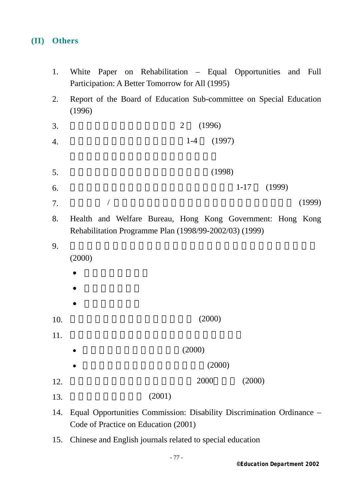### **(II) Others**

- 1. White Paper on Rehabilitation Equal Opportunities and Full Participation: A Better Tomorrow for All (1995)
- 2. Report of the Board of Education Sub-committee on Special Education (1996)
- $3.$  (1996)
- 4. a a  $1-4$  (1997)
- $5.$  (1998)
- 6. 香港痙攣協會《協助學前兒童智能發展手冊》1-17 (1999)
- $7.$  /  $/$ 
	- 8. Health and Welfare Bureau, Hong Kong Government: Hong Kong Rehabilitation Programme Plan (1998/99-2002/03) (1999)
- $9.$

(2000)

- 侏羅紀公園歷險記
- $\bullet$  and  $\bullet$  and  $\bullet$  and  $\bullet$
- 大小貓咪破奇案

- 
- $10.$   $(2000)$
- $11.$

- $(2000)$  $(2000)$
- $12.$  2000  $(2000)$ 
	- $13.$  (2001)
	- 14. Equal Opportunities Commission: Disability Discrimination Ordinance Code of Practice on Education (2001)
	- 15. Chinese and English journals related to special education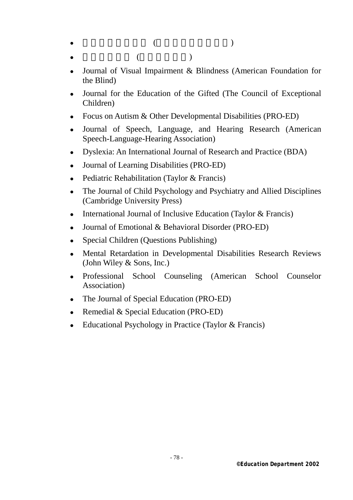$\bullet$  ( )  $\bullet$  and  $\bullet$  and  $\bullet$  and  $\bullet$  and  $\bullet$  and  $\bullet$  and  $\bullet$  and  $\bullet$  and  $\bullet$  and  $\bullet$  and  $\bullet$  and  $\bullet$  and  $\bullet$  and  $\bullet$  and  $\bullet$  and  $\bullet$  and  $\bullet$  and  $\bullet$  and  $\bullet$  and  $\bullet$  and  $\bullet$  and  $\bullet$  and  $\bullet$  and  $\bullet$  and  $\bullet$ 

- 
- 
- Journal of Visual Impairment & Blindness (American Foundation for the Blind)
- Journal for the Education of the Gifted (The Council of Exceptional Children)
- Focus on Autism & Other Developmental Disabilities (PRO-ED)
- Journal of Speech, Language, and Hearing Research (American Speech-Language-Hearing Association)
- Dyslexia: An International Journal of Research and Practice (BDA)
- Journal of Learning Disabilities (PRO-ED)
- Pediatric Rehabilitation (Taylor & Francis)
- The Journal of Child Psychology and Psychiatry and Allied Disciplines (Cambridge University Press)
- International Journal of Inclusive Education (Taylor  $&$  Francis)
- Journal of Emotional & Behavioral Disorder (PRO-ED)
- Special Children (Questions Publishing)
- Mental Retardation in Developmental Disabilities Research Reviews (John Wiley & Sons, Inc.)
- <sup>z</sup> Professional School Counseling (American School Counselor Association)
- The Journal of Special Education (PRO-ED)
- Remedial  $&$  Special Education (PRO-ED)
- $\bullet$  Educational Psychology in Practice (Taylor & Francis)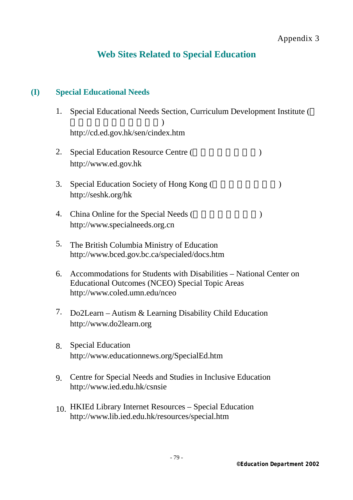# **Web Sites Related to Special Education**

### **(I) Special Educational Needs**

- 1. Special Educational Needs Section, Curriculum Development Institute (  $\overline{R}$ http://cd.ed.gov.hk/sen/cindex.htm
- 2. Special Education Resource Centre ( $\blacksquare$ ) http://www.ed.gov.hk
- 3. Special Education Society of Hong Kong (Separation 1) http://seshk.org/hk
- 4. China Online for the Special Needs (exceptional special Needs (approximately separately separately separately separately separately separately separately separately separately separately separately separately separately http://www.specialneeds.org.cn
- 5. The British Columbia Ministry of Education http://www.bced.gov.bc.ca/specialed/docs.htm
- 6. Accommodations for Students with Disabilities National Center on Educational Outcomes (NCEO) Special Topic Areas http://www.coled.umn.edu/nceo
- 7. Do2Learn Autism & Learning Disability Child Education http://www.do2learn.org
- 8. Special Education http://www.educationnews.org/SpecialEd.htm
- 9. Centre for Special Needs and Studies in Inclusive Education http://www.ied.edu.hk/csnsie
- 10. HKIEd Library Internet Resources Special Education http://www.lib.ied.edu.hk/resources/special.htm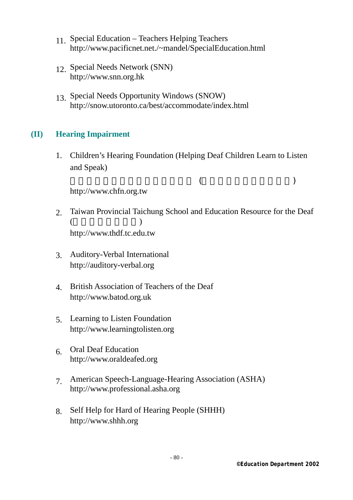- 11. Special Education Teachers Helping Teachers http://www.pacificnet.net./~mandel/SpecialEducation.html
- 12. Special Needs Network (SNN) http://www.snn.org.hk
- 13. Special Needs Opportunity Windows (SNOW) http://snow.utoronto.ca/best/accommodate/index.html

### **(II) Hearing Impairment**

 1. Children's Hearing Foundation (Helping Deaf Children Learn to Listen and Speak)

 $($ 

http://www.chfn.org.tw

- 2. Taiwan Provincial Taichung School and Education Resource for the Deaf  $($ http://www.thdf.tc.edu.tw
- 3. Auditory-Verbal International http://auditory-verbal.org
- 4. British Association of Teachers of the Deaf http://www.batod.org.uk
- 5. Learning to Listen Foundation http://www.learningtolisten.org
- 6. Oral Deaf Education http://www.oraldeafed.org
- 7. American Speech-Language-Hearing Association (ASHA) http://www.professional.asha.org
- 8. Self Help for Hard of Hearing People (SHHH) http://www.shhh.org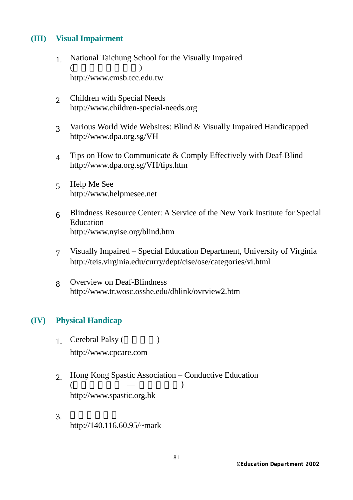## **(III) Visual Impairment**

- 1. National Taichung School for the Visually Impaired  $($ http://www.cmsb.tcc.edu.tw
- 2 Children with Special Needs http://www.children-special-needs.org
- 3 Various World Wide Websites: Blind & Visually Impaired Handicapped http://www.dpa.org.sg/VH
- 4 Tips on How to Communicate & Comply Effectively with Deaf-Blind http://www.dpa.org.sg/VH/tips.htm
- 5 Help Me See http://www.helpmesee.net
- 6 Blindness Resource Center: A Service of the New York Institute for Special Education http://www.nyise.org/blind.htm
- 7 Visually Impaired Special Education Department, University of Virginia http://teis.virginia.edu/curry/dept/cise/ose/categories/vi.html
- 8 Overview on Deaf-Blindness http://www.tr.wosc.osshe.edu/dblink/ovrview2.htm

### **(IV) Physical Handicap**

- 1. Cerebral Palsy (  $\qquad \qquad$  ) http://www.cpcare.com
- 2. Hong Kong Spastic Association Conductive Education ( )  $($   $-$  ) http://www.spastic.org.hk
- $3.$ http://140.116.60.95/~mark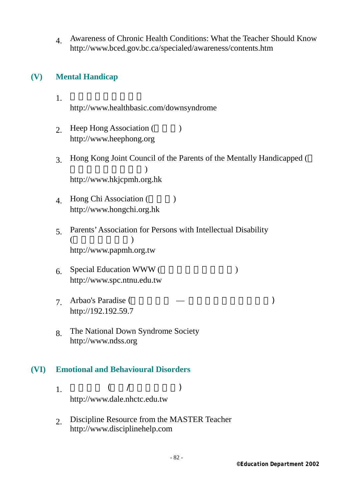4. Awareness of Chronic Health Conditions: What the Teacher Should Know http://www.bced.gov.bc.ca/specialed/awareness/contents.htm

## **(V) Mental Handicap**

- 1. 香港唐氏綜合症協會 http://www.healthbasic.com/downsyndrome
	- 2. Heep Hong Association (a) http://www.heephong.org
	- 3. Hong Kong Joint Council of the Parents of the Mentally Handicapped (  $\overline{\phantom{a}}$ http://www.hkjcpmh.org.hk
	- 4 Hong Chi Association (a) http://www.hongchi.org.hk
	- 5. Parents' Association for Persons with Intellectual Disability  $($   $)$ http://www.papmh.org.tw
	- $6.$  Special Education WWW ( $\qquad \qquad$ ) http://www.spc.ntnu.edu.tw
	- 7. Arbao's Paradise (The Society of Arbao's Paradise (Company) http://192.192.59.7
	- 8. The National Down Syndrome Society http://www.ndss.org

### **(VI) Emotional and Behavioural Disorders**

1.  $($  /  $)$ http://www.dale.nhctc.edu.tw

> 2. Discipline Resource from the MASTER Teacher http://www.disciplinehelp.com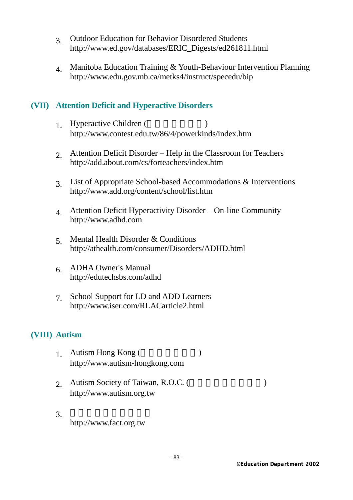- 3. Outdoor Education for Behavior Disordered Students http://www.ed.gov/databases/ERIC\_Digests/ed261811.html
- 4. Manitoba Education Training & Youth-Behaviour Intervention Planning http://www.edu.gov.mb.ca/metks4/instruct/specedu/bip

## **(VII) Attention Deficit and Hyperactive Disorders**

- 1 Hyperactive Children (and  $\overline{)$ ) http://www.contest.edu.tw/86/4/powerkinds/index.htm
- 2. Attention Deficit Disorder Help in the Classroom for Teachers http://add.about.com/cs/forteachers/index.htm
- 3. List of Appropriate School-based Accommodations & Interventions http://www.add.org/content/school/list.htm
- 4. Attention Deficit Hyperactivity Disorder On-line Community http://www.adhd.com
- 5. Mental Health Disorder & Conditions http://athealth.com/consumer/Disorders/ADHD.html
- 6. ADHA Owner's Manual http://edutechsbs.com/adhd
- 7. School Support for LD and ADD Learners http://www.iser.com/RLACarticle2.html

### **(VIII) Autism**

- 1. Autism Hong Kong  $($ http://www.autism-hongkong.com
- 2. Autism Society of Taiwan, R.O.C. (
Here are not been also been also been also been also been also been also been also been also been also been also been also been also been also been also been also been also been also b http://www.autism.org.tw
- $3.$ http://www.fact.org.tw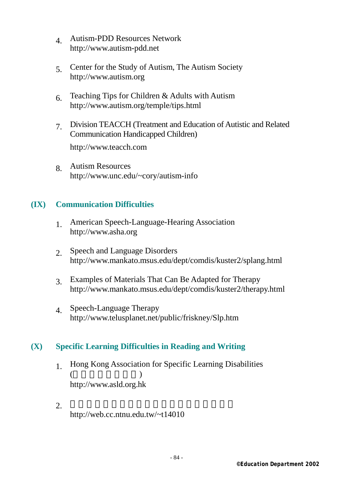- 4. Autism-PDD Resources Network http://www.autism-pdd.net
- 5. Center for the Study of Autism, The Autism Society http://www.autism.org
- 6. Teaching Tips for Children & Adults with Autism http://www.autism.org/temple/tips.html
- 7. Division TEACCH (Treatment and Education of Autistic and Related Communication Handicapped Children)

http://www.teacch.com

 8. Autism Resources http://www.unc.edu/~cory/autism-info

### **(IX) Communication Difficulties**

- 1. American Speech-Language-Hearing Association http://www.asha.org
- 2. Speech and Language Disorders http://www.mankato.msus.edu/dept/comdis/kuster2/splang.html
- 3. Examples of Materials That Can Be Adapted for Therapy http://www.mankato.msus.edu/dept/comdis/kuster2/therapy.html
- 4. Speech-Language Therapy http://www.telusplanet.net/public/friskney/Slp.htm

## **(X) Specific Learning Difficulties in Reading and Writing**

- 1. Hong Kong Association for Specific Learning Disabilities  $($ http://www.asld.org.hk
- $2.$ http://web.cc.ntnu.edu.tw/~t14010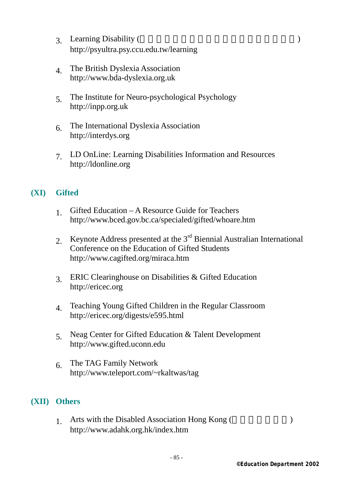- 3. Learning Disability (Branch Branch Branch Branch Branch Branch Branch Branch Branch Branch Branch Branch Branch Branch Branch Branch Branch Branch Branch Branch Branch Branch Branch Branch Branch Branch Branch Branch Br http://psyultra.psy.ccu.edu.tw/learning
- 4. The British Dyslexia Association http://www.bda-dyslexia.org.uk
- 5. The Institute for Neuro-psychological Psychology http://inpp.org.uk
- 6. The International Dyslexia Association http://interdys.org
- 7. LD OnLine: Learning Disabilities Information and Resources http://ldonline.org

### **(XI) Gifted**

- 1. Gifted Education A Resource Guide for Teachers http://www.bced.gov.bc.ca/specialed/gifted/whoare.htm
- 2. Keynote Address presented at the  $3<sup>rd</sup>$  Biennial Australian International Conference on the Education of Gifted Students http://www.cagifted.org/miraca.htm
- 3. ERIC Clearinghouse on Disabilities & Gifted Education http://ericec.org
- 4. Teaching Young Gifted Children in the Regular Classroom http://ericec.org/digests/e595.html
- 5. Neag Center for Gifted Education & Talent Development http://www.gifted.uconn.edu
- 6. The TAG Family Network http://www.teleport.com/~rkaltwas/tag

## **(XII) Others**

1. Arts with the Disabled Association Hong Kong (and  $\overline{R}$ ) http://www.adahk.org.hk/index.htm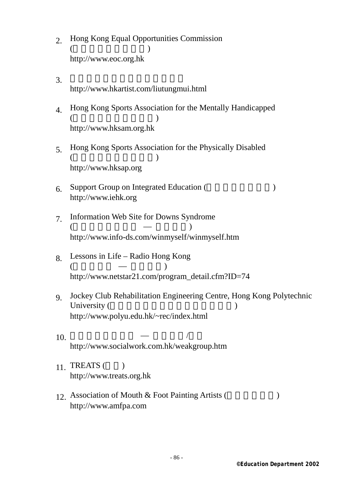- 2. Hong Kong Equal Opportunities Commission  $($ http://www.eoc.org.hk
- $3.$ http://www.hkartist.com/liutungmui.html
	- 4. Hong Kong Sports Association for the Mentally Handicapped  $($ http://www.hksam.org.hk
	- 5. Hong Kong Sports Association for the Physically Disabled  $($ http://www.hksap.org
	- $6.$  Support Group on Integrated Education ( $\qquad \qquad$ http://www.iehk.org
	- 7. Information Web Site for Downs Syndrome  $($   $)$ http://www.info-ds.com/winmyself/winmyself.htm
	- 8. Lessons in Life Radio Hong Kong  $($  —  $)$ http://www.netstar21.com/program\_detail.cfm?ID=74
	- 9. Jockey Club Rehabilitation Engineering Centre, Hong Kong Polytechnic University (Fig. 2.1 and 2.1 and 2.1 and 2.1 and 2.1 and 2.1 and 2.1 and 2.1 and 2.1 and 2.1 and 2.1 and 2.1 and 2.1 and 2.1 and 2.1 and 2.1 and 2.1 and 2.1 and 2.1 and 2.1 and 2.1 and 2.1 and 2.1 and 2.1 and 2.1 and 2.1 a http://www.polyu.edu.hk/~rec/index.html
- $10.$   $\qquad \qquad$   $\qquad \qquad$ http://www.socialwork.com.hk/weakgroup.htm
	- $11.$  TREATS ( $\qquad$ ) http://www.treats.org.hk
	- 12. Association of Mouth & Foot Painting Artists (The Superior State State State State State State State State State State State State State State State State State State State State State State State State State State Sta http://www.amfpa.com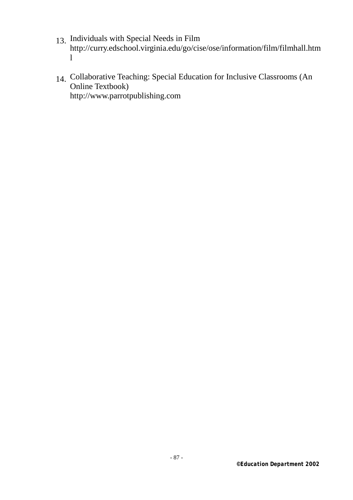- 13. Individuals with Special Needs in Film http://curry.edschool.virginia.edu/go/cise/ose/information/film/filmhall.htm l
- 14. Collaborative Teaching: Special Education for Inclusive Classrooms (An Online Textbook) http://www.parrotpublishing.com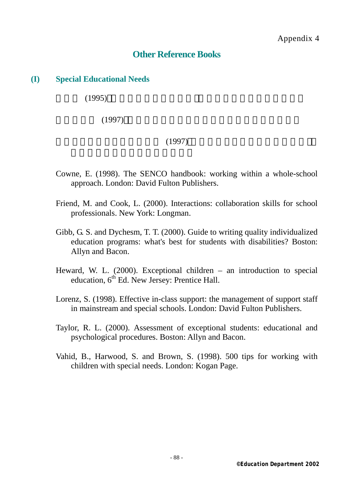# **Other Reference Books**

### **(I) Special Educational Needs**

 $(1995)$ 

 $(1997)$ 

### $(1997)$

- Cowne, E. (1998). The SENCO handbook: working within a whole-school approach. London: David Fulton Publishers.
- Friend, M. and Cook, L. (2000). Interactions: collaboration skills for school professionals. New York: Longman.
- Gibb, G. S. and Dychesm, T. T. (2000). Guide to writing quality individualized education programs: what's best for students with disabilities? Boston: Allyn and Bacon.
- Heward, W. L. (2000). Exceptional children an introduction to special education,  $6<sup>th</sup>$  Ed. New Jersey: Prentice Hall.
- Lorenz, S. (1998). Effective in-class support: the management of support staff in mainstream and special schools. London: David Fulton Publishers.
- Taylor, R. L. (2000). Assessment of exceptional students: educational and psychological procedures. Boston: Allyn and Bacon.
- Vahid, B., Harwood, S. and Brown, S. (1998). 500 tips for working with children with special needs. London: Kogan Page.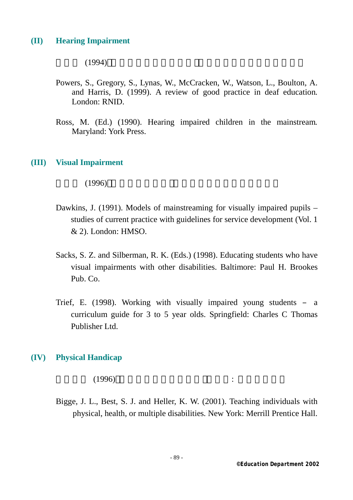#### **(II) Hearing Impairment**

 $(1994)$ 

- Powers, S., Gregory, S., Lynas, W., McCracken, W., Watson, L., Boulton, A. and Harris, D. (1999). A review of good practice in deaf education*.* London: RNID.
- Ross, M. (Ed.) (1990). Hearing impaired children in the mainstream*.*  Maryland: York Press.

#### **(III) Visual Impairment**

 $(1996)$ 

- Dawkins, J. (1991). Models of mainstreaming for visually impaired pupils studies of current practice with guidelines for service development (Vol. 1 & 2). London: HMSO.
- Sacks, S. Z. and Silberman, R. K. (Eds.) (1998). Educating students who have visual impairments with other disabilities. Baltimore: Paul H. Brookes Pub. Co.
- Trief, E. (1998). Working with visually impaired young students a curriculum guide for 3 to 5 year olds. Springfield: Charles C Thomas Publisher Ltd.

#### **(IV) Physical Handicap**

 $(1996)$  :

Bigge, J. L., Best, S. J. and Heller, K. W. (2001). Teaching individuals with physical, health, or multiple disabilities*.* New York: Merrill Prentice Hall.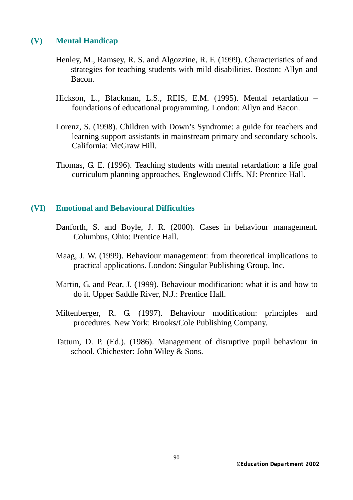### **(V) Mental Handicap**

- Henley, M., Ramsey, R. S. and Algozzine, R. F. (1999). Characteristics of and strategies for teaching students with mild disabilities. Boston: Allyn and Bacon.
- Hickson, L., Blackman, L.S., REIS, E.M. (1995). Mental retardation foundations of educational programming*.* London: Allyn and Bacon.
- Lorenz, S. (1998). Children with Down's Syndrome: a guide for teachers and learning support assistants in mainstream primary and secondary schools*.* California: McGraw Hill.
- Thomas, G. E. (1996). Teaching students with mental retardation: a life goal curriculum planning approaches*.* Englewood Cliffs, NJ: Prentice Hall.

#### **(VI) Emotional and Behavioural Difficulties**

- Danforth, S. and Boyle, J. R. (2000). Cases in behaviour management. Columbus, Ohio: Prentice Hall.
- Maag, J. W. (1999). Behaviour management: from theoretical implications to practical applications. London: Singular Publishing Group, Inc.
- Martin, G. and Pear, J. (1999). Behaviour modification: what it is and how to do it. Upper Saddle River, N.J.: Prentice Hall.
- Miltenberger, R. G. (1997). Behaviour modification: principles and procedures. New York: Brooks/Cole Publishing Company.
- Tattum, D. P. (Ed.). (1986). Management of disruptive pupil behaviour in school. Chichester: John Wiley & Sons.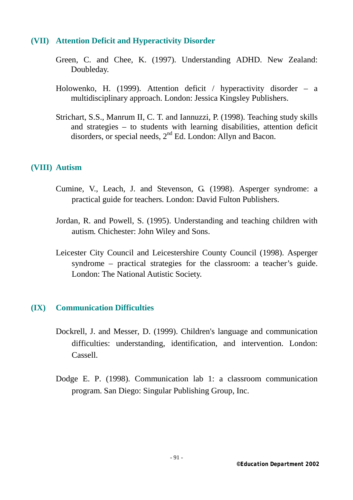#### **(VII) Attention Deficit and Hyperactivity Disorder**

- Green, C. and Chee, K. (1997). Understanding ADHD. New Zealand: Doubleday.
- Holowenko, H. (1999). Attention deficit / hyperactivity disorder a multidisciplinary approach. London: Jessica Kingsley Publishers.
- Strichart, S.S., Manrum II, C. T. and Iannuzzi, P. (1998). Teaching study skills and strategies – to students with learning disabilities, attention deficit disorders, or special needs,  $2<sup>nd</sup>$  Ed. London: Allyn and Bacon.

#### **(VIII) Autism**

- Cumine, V., Leach, J. and Stevenson, G. (1998). Asperger syndrome: a practical guide for teachers*.* London: David Fulton Publishers.
- Jordan, R. and Powell, S. (1995). Understanding and teaching children with autism*.* Chichester: John Wiley and Sons.
- Leicester City Council and Leicestershire County Council (1998). Asperger syndrome – practical strategies for the classroom: a teacher's guide. London: The National Autistic Society.

#### **(IX) Communication Difficulties**

- Dockrell, J. and Messer, D. (1999). Children's language and communication difficulties: understanding, identification, and intervention. London: Cassell.
- Dodge E. P. (1998). Communication lab 1: a classroom communication program. San Diego: Singular Publishing Group, Inc.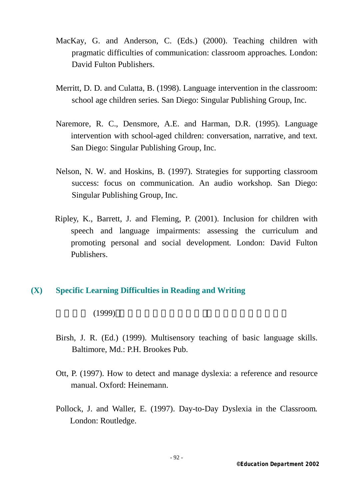- MacKay, G. and Anderson, C. (Eds.) (2000). Teaching children with pragmatic difficulties of communication: classroom approaches*.* London: David Fulton Publishers.
- Merritt, D. D. and Culatta, B. (1998). Language intervention in the classroom: school age children series*.* San Diego: Singular Publishing Group, Inc.
- Naremore, R. C., Densmore, A.E. and Harman, D.R. (1995). Language intervention with school-aged children: conversation, narrative, and text*.*  San Diego: Singular Publishing Group, Inc.
- Nelson, N. W. and Hoskins, B. (1997). Strategies for supporting classroom success: focus on communication. An audio workshop*.* San Diego: Singular Publishing Group, Inc.
- Ripley, K., Barrett, J. and Fleming, P. (2001). Inclusion for children with speech and language impairments: assessing the curriculum and promoting personal and social development*.* London: David Fulton Publishers.

#### **(X) Specific Learning Difficulties in Reading and Writing**

 $(1999)$ 

- Birsh, J. R. (Ed.) (1999). Multisensory teaching of basic language skills. Baltimore, Md.: P.H. Brookes Pub.
- Ott, P. (1997). How to detect and manage dyslexia: a reference and resource manual. Oxford: Heinemann.
- Pollock, J. and Waller, E. (1997). Day-to-Day Dyslexia in the Classroom*.* London: Routledge.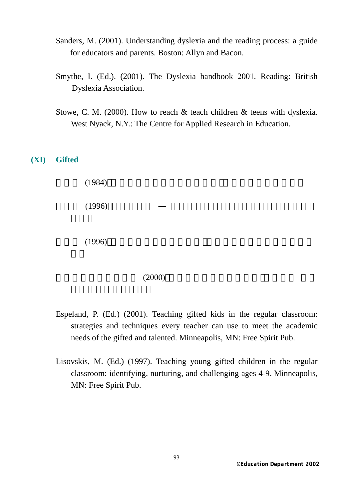- Sanders, M. (2001). Understanding dyslexia and the reading process: a guide for educators and parents. Boston: Allyn and Bacon.
- Smythe, I. (Ed.). (2001). The Dyslexia handbook 2001*.* Reading: British Dyslexia Association.
- Stowe, C. M. (2000). How to reach & teach children & teens with dyslexia. West Nyack, N.Y.: The Centre for Applied Research in Education.

#### **(XI) Gifted**

 $(1984)$  $(1996)$  —  $(1996)$ 

#### $(2000)$

- Espeland, P. (Ed.) (2001). Teaching gifted kids in the regular classroom: strategies and techniques every teacher can use to meet the academic needs of the gifted and talented. Minneapolis, MN: Free Spirit Pub.
- Lisovskis, M. (Ed.) (1997). Teaching young gifted children in the regular classroom: identifying, nurturing, and challenging ages 4-9. Minneapolis, MN: Free Spirit Pub.